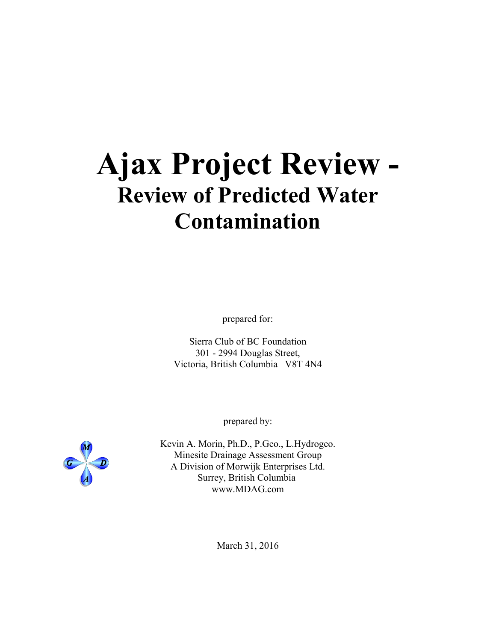# **Ajax Project Review - Review of Predicted Water Contamination**

prepared for:

Sierra Club of BC Foundation 301 - 2994 Douglas Street, Victoria, British Columbia V8T 4N4

prepared by:

Kevin A. Morin, Ph.D., P.Geo., L.Hydrogeo. Minesite Drainage Assessment Group A Division of Morwijk Enterprises Ltd. Surrey, British Columbia www.MDAG.com

March 31, 2016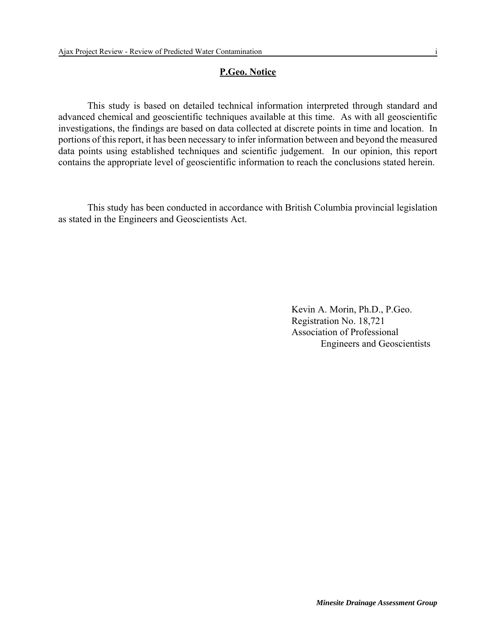# **P.Geo. Notice**

This study is based on detailed technical information interpreted through standard and advanced chemical and geoscientific techniques available at this time. As with all geoscientific investigations, the findings are based on data collected at discrete points in time and location. In portions of this report, it has been necessary to infer information between and beyond the measured data points using established techniques and scientific judgement. In our opinion, this report contains the appropriate level of geoscientific information to reach the conclusions stated herein.

This study has been conducted in accordance with British Columbia provincial legislation as stated in the Engineers and Geoscientists Act.

> Kevin A. Morin, Ph.D., P.Geo. Registration No. 18,721 Association of Professional Engineers and Geoscientists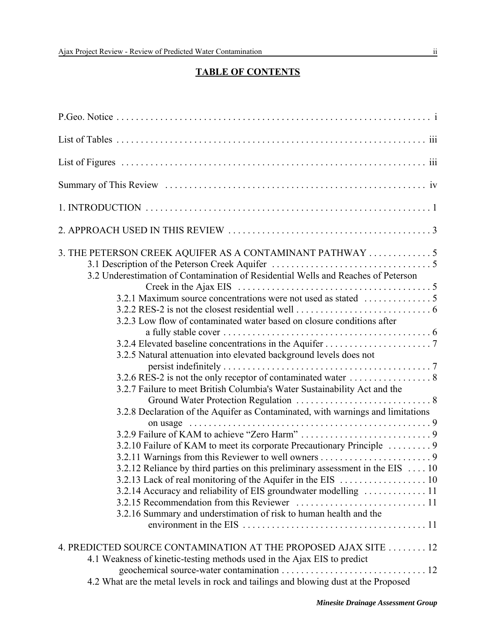# **TABLE OF CONTENTS**

| 3. THE PETERSON CREEK AQUIFER AS A CONTAMINANT PATHWAY  5<br>3.2 Underestimation of Contamination of Residential Wells and Reaches of Peterson                                                                                                                                                                                                                                       |  |
|--------------------------------------------------------------------------------------------------------------------------------------------------------------------------------------------------------------------------------------------------------------------------------------------------------------------------------------------------------------------------------------|--|
| 3.2.3 Low flow of contaminated water based on closure conditions after                                                                                                                                                                                                                                                                                                               |  |
| 3.2.5 Natural attenuation into elevated background levels does not                                                                                                                                                                                                                                                                                                                   |  |
| 3.2.7 Failure to meet British Columbia's Water Sustainability Act and the                                                                                                                                                                                                                                                                                                            |  |
| 3.2.8 Declaration of the Aquifer as Contaminated, with warnings and limitations<br>3.2.10 Failure of KAM to meet its corporate Precautionary Principle  9<br>3.2.12 Reliance by third parties on this preliminary assessment in the EIS  10<br>3.2.14 Accuracy and reliability of EIS groundwater modelling  11<br>3.2.16 Summary and understimation of risk to human health and the |  |
| 4. PREDICTED SOURCE CONTAMINATION AT THE PROPOSED AJAX SITE 12<br>4.1 Weakness of kinetic-testing methods used in the Ajax EIS to predict<br>4.2 What are the metal levels in rock and tailings and blowing dust at the Proposed                                                                                                                                                     |  |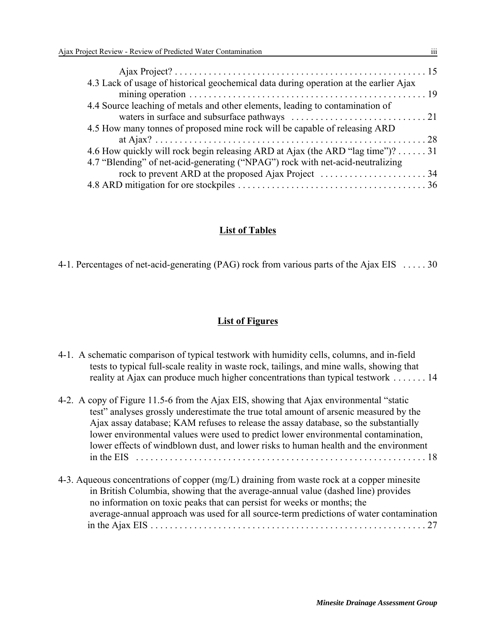| 4.3 Lack of usage of historical geochemical data during operation at the earlier Ajax |  |
|---------------------------------------------------------------------------------------|--|
|                                                                                       |  |
| 4.4 Source leaching of metals and other elements, leading to contamination of         |  |
|                                                                                       |  |
| 4.5 How many tonnes of proposed mine rock will be capable of releasing ARD            |  |
|                                                                                       |  |
| 4.6 How quickly will rock begin releasing ARD at Ajax (the ARD "lag time")? 31        |  |
| 4.7 "Blending" of net-acid-generating ("NPAG") rock with net-acid-neutralizing        |  |
|                                                                                       |  |
|                                                                                       |  |

#### **List of Tables**

4-1. Percentages of net-acid-generating (PAG) rock from various parts of the Ajax EIS . . . . . 30

#### **List of Figures**

- 4-1. A schematic comparison of typical testwork with humidity cells, columns, and in-field tests to typical full-scale reality in waste rock, tailings, and mine walls, showing that reality at Ajax can produce much higher concentrations than typical testwork . . . . . . . 14
- 4-2. A copy of Figure 11.5-6 from the Ajax EIS, showing that Ajax environmental "static test" analyses grossly underestimate the true total amount of arsenic measured by the Ajax assay database; KAM refuses to release the assay database, so the substantially lower environmental values were used to predict lower environmental contamination, lower effects of windblown dust, and lower risks to human health and the environment in the EIS . . . . . . . . . . . . . . . . . . . . . . . . . . . . . . . . . . . . . . . . . . . . . . . . . . . . . . . . . . . . 18 4-3. Aqueous concentrations of copper (mg/L) draining from waste rock at a copper minesite
- in British Columbia, showing that the average-annual value (dashed line) provides no information on toxic peaks that can persist for weeks or months; the average-annual approach was used for all source-term predictions of water contamination in the Ajax EIS . . . . . . . . . . . . . . . . . . . . . . . . . . . . . . . . . . . . . . . . . . . . . . . . . . . . . . . . . 27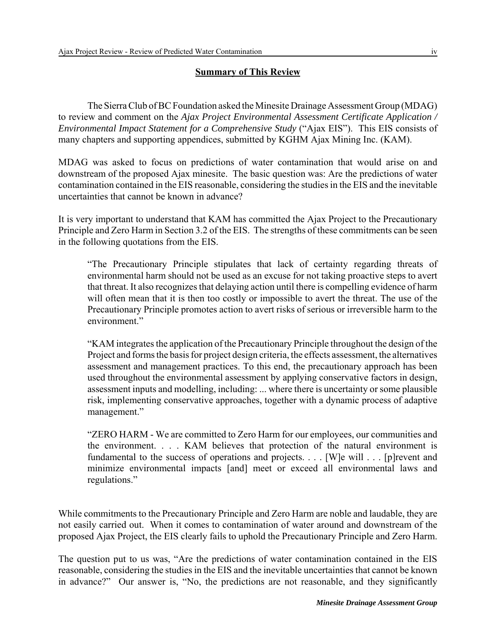# **Summary of This Review**

The Sierra Club of BC Foundation asked the Minesite Drainage Assessment Group (MDAG) to review and comment on the *Ajax Project Environmental Assessment Certificate Application / Environmental Impact Statement for a Comprehensive Study* ("Ajax EIS"). This EIS consists of many chapters and supporting appendices, submitted by KGHM Ajax Mining Inc. (KAM).

MDAG was asked to focus on predictions of water contamination that would arise on and downstream of the proposed Ajax minesite. The basic question was: Are the predictions of water contamination contained in the EIS reasonable, considering the studies in the EIS and the inevitable uncertainties that cannot be known in advance?

It is very important to understand that KAM has committed the Ajax Project to the Precautionary Principle and Zero Harm in Section 3.2 of the EIS. The strengths of these commitments can be seen in the following quotations from the EIS.

"The Precautionary Principle stipulates that lack of certainty regarding threats of environmental harm should not be used as an excuse for not taking proactive steps to avert that threat. It also recognizes that delaying action until there is compelling evidence of harm will often mean that it is then too costly or impossible to avert the threat. The use of the Precautionary Principle promotes action to avert risks of serious or irreversible harm to the environment."

"KAM integrates the application of the Precautionary Principle throughout the design of the Project and forms the basis for project design criteria, the effects assessment, the alternatives assessment and management practices. To this end, the precautionary approach has been used throughout the environmental assessment by applying conservative factors in design, assessment inputs and modelling, including: ... where there is uncertainty or some plausible risk, implementing conservative approaches, together with a dynamic process of adaptive management."

"ZERO HARM - We are committed to Zero Harm for our employees, our communities and the environment. . . . KAM believes that protection of the natural environment is fundamental to the success of operations and projects. . . . [W]e will . . . [p]revent and minimize environmental impacts [and] meet or exceed all environmental laws and regulations."

While commitments to the Precautionary Principle and Zero Harm are noble and laudable, they are not easily carried out. When it comes to contamination of water around and downstream of the proposed Ajax Project, the EIS clearly fails to uphold the Precautionary Principle and Zero Harm.

The question put to us was, "Are the predictions of water contamination contained in the EIS reasonable, considering the studies in the EIS and the inevitable uncertainties that cannot be known in advance?" Our answer is, "No, the predictions are not reasonable, and they significantly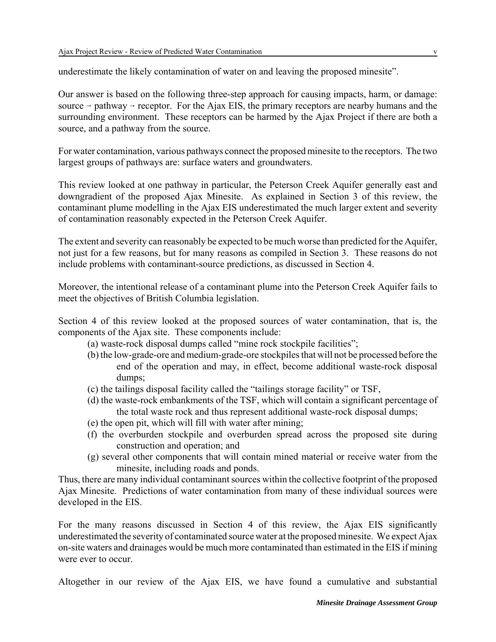underestimate the likely contamination of water on and leaving the proposed minesite".

Our answer is based on the following three-step approach for causing impacts, harm, or damage: source  $\rightarrow$  pathway  $\rightarrow$  receptor. For the Ajax EIS, the primary receptors are nearby humans and the surrounding environment. These receptors can be harmed by the Ajax Project if there are both a source, and a pathway from the source.

For water contamination, various pathways connect the proposed minesite to the receptors. The two largest groups of pathways are: surface waters and groundwaters.

This review looked at one pathway in particular, the Peterson Creek Aquifer generally east and downgradient of the proposed Ajax Minesite. As explained in Section 3 of this review, the contaminant plume modelling in the Ajax EIS underestimated the much larger extent and severity of contamination reasonably expected in the Peterson Creek Aquifer.

The extent and severity can reasonably be expected to be much worse than predicted for the Aquifer, not just for a few reasons, but for many reasons as compiled in Section 3. These reasons do not include problems with contaminant-source predictions, as discussed in Section 4.

Moreover, the intentional release of a contaminant plume into the Peterson Creek Aquifer fails to meet the objectives of British Columbia legislation.

Section 4 of this review looked at the proposed sources of water contamination, that is, the components of the Ajax site. These components include:

- (a) waste-rock disposal dumps called "mine rock stockpile facilities";
- (b) the low-grade-ore and medium-grade-ore stockpiles that will not be processed before the end of the operation and may, in effect, become additional waste-rock disposal dumps;
- (c) the tailings disposal facility called the "tailings storage facility" or TSF,
- (d) the waste-rock embankments of the TSF, which will contain a significant percentage of the total waste rock and thus represent additional waste-rock disposal dumps;
- (e) the open pit, which will fill with water after mining;
- (f) the overburden stockpile and overburden spread across the proposed site during construction and operation; and
- (g) several other components that will contain mined material or receive water from the minesite, including roads and ponds.

Thus, there are many individual contaminant sources within the collective footprint of the proposed Ajax Minesite. Predictions of water contamination from many of these individual sources were developed in the EIS.

For the many reasons discussed in Section 4 of this review, the Ajax EIS significantly underestimated the severity of contaminated source water at the proposed minesite. We expect Ajax on-site waters and drainages would be much more contaminated than estimated in the EIS if mining were ever to occur.

Altogether in our review of the Ajax EIS, we have found a cumulative and substantial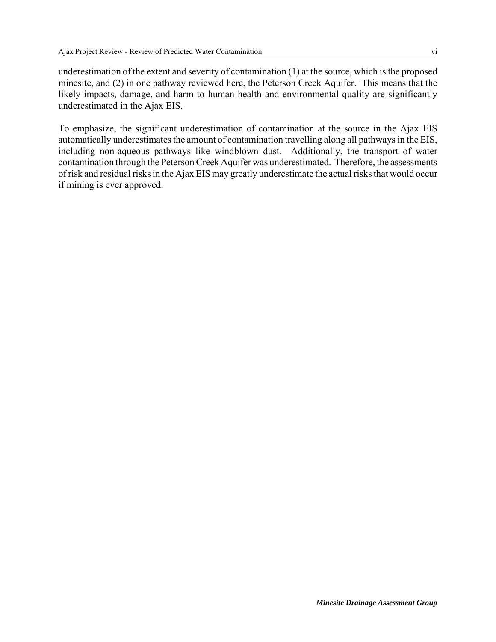underestimation of the extent and severity of contamination (1) at the source, which is the proposed minesite, and (2) in one pathway reviewed here, the Peterson Creek Aquifer. This means that the likely impacts, damage, and harm to human health and environmental quality are significantly underestimated in the Ajax EIS.

To emphasize, the significant underestimation of contamination at the source in the Ajax EIS automatically underestimates the amount of contamination travelling along all pathways in the EIS, including non-aqueous pathways like windblown dust. Additionally, the transport of water contamination through the Peterson Creek Aquifer was underestimated. Therefore, the assessments of risk and residual risks in the Ajax EIS may greatly underestimate the actual risks that would occur if mining is ever approved.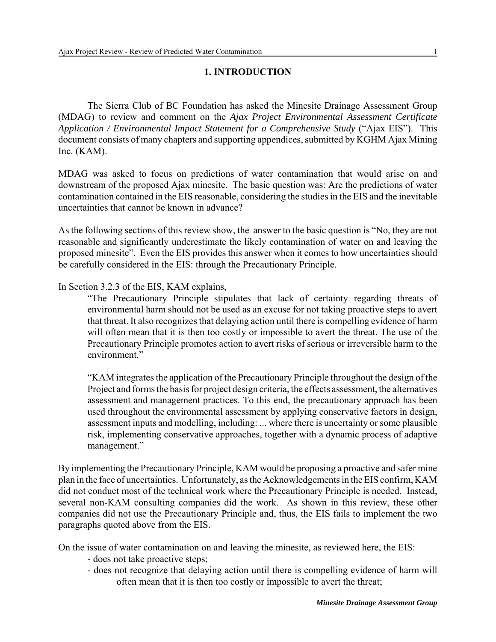# **1. INTRODUCTION**

The Sierra Club of BC Foundation has asked the Minesite Drainage Assessment Group (MDAG) to review and comment on the *Ajax Project Environmental Assessment Certificate Application / Environmental Impact Statement for a Comprehensive Study* ("Ajax EIS"). This document consists of many chapters and supporting appendices, submitted by KGHM Ajax Mining Inc. (KAM).

MDAG was asked to focus on predictions of water contamination that would arise on and downstream of the proposed Ajax minesite. The basic question was: Are the predictions of water contamination contained in the EIS reasonable, considering the studies in the EIS and the inevitable uncertainties that cannot be known in advance?

As the following sections of this review show, the answer to the basic question is "No, they are not reasonable and significantly underestimate the likely contamination of water on and leaving the proposed minesite". Even the EIS provides this answer when it comes to how uncertainties should be carefully considered in the EIS: through the Precautionary Principle.

#### In Section 3.2.3 of the EIS, KAM explains,

"The Precautionary Principle stipulates that lack of certainty regarding threats of environmental harm should not be used as an excuse for not taking proactive steps to avert that threat. It also recognizes that delaying action until there is compelling evidence of harm will often mean that it is then too costly or impossible to avert the threat. The use of the Precautionary Principle promotes action to avert risks of serious or irreversible harm to the environment."

"KAM integrates the application of the Precautionary Principle throughout the design of the Project and forms the basis for project design criteria, the effects assessment, the alternatives assessment and management practices. To this end, the precautionary approach has been used throughout the environmental assessment by applying conservative factors in design, assessment inputs and modelling, including: ... where there is uncertainty or some plausible risk, implementing conservative approaches, together with a dynamic process of adaptive management."

By implementing the Precautionary Principle, KAM would be proposing a proactive and safer mine plan in the face of uncertainties. Unfortunately, as the Acknowledgements in the EIS confirm, KAM did not conduct most of the technical work where the Precautionary Principle is needed. Instead, several non-KAM consulting companies did the work. As shown in this review, these other companies did not use the Precautionary Principle and, thus, the EIS fails to implement the two paragraphs quoted above from the EIS.

On the issue of water contamination on and leaving the minesite, as reviewed here, the EIS:

- does not take proactive steps;
- does not recognize that delaying action until there is compelling evidence of harm will often mean that it is then too costly or impossible to avert the threat;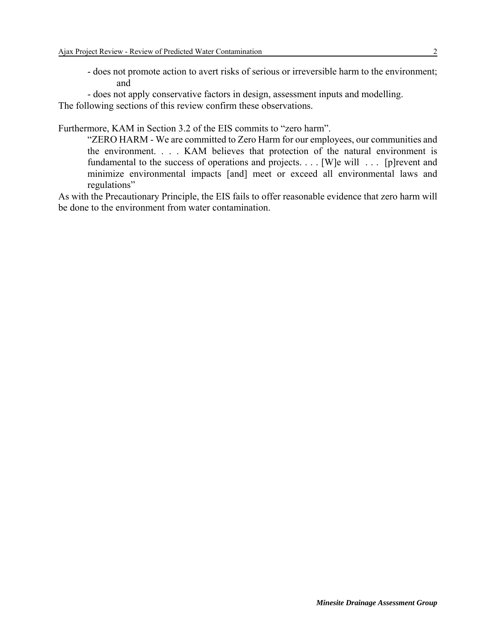- does not promote action to avert risks of serious or irreversible harm to the environment; and

- does not apply conservative factors in design, assessment inputs and modelling. The following sections of this review confirm these observations.

Furthermore, KAM in Section 3.2 of the EIS commits to "zero harm".

"ZERO HARM - We are committed to Zero Harm for our employees, our communities and the environment. . . . KAM believes that protection of the natural environment is fundamental to the success of operations and projects. . . . [W]e will . . . [p]revent and minimize environmental impacts [and] meet or exceed all environmental laws and regulations"

As with the Precautionary Principle, the EIS fails to offer reasonable evidence that zero harm will be done to the environment from water contamination.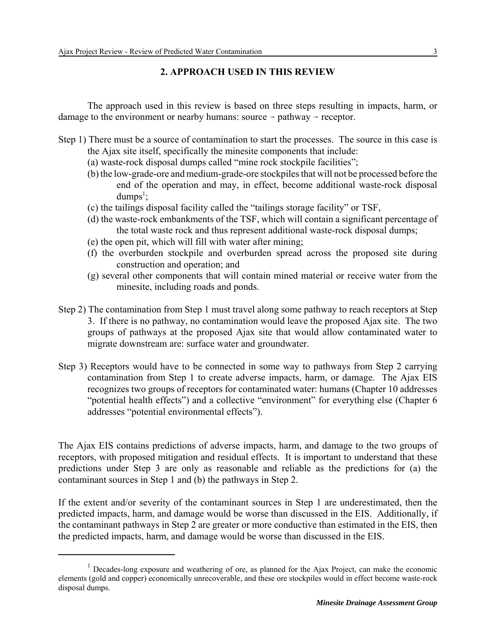# **2. APPROACH USED IN THIS REVIEW**

The approach used in this review is based on three steps resulting in impacts, harm, or damage to the environment or nearby humans: source  $\rightarrow$  pathway  $\rightarrow$  receptor.

- Step 1) There must be a source of contamination to start the processes. The source in this case is the Ajax site itself, specifically the minesite components that include:
	- (a) waste-rock disposal dumps called "mine rock stockpile facilities";
	- (b) the low-grade-ore and medium-grade-ore stockpiles that will not be processed before the end of the operation and may, in effect, become additional waste-rock disposal  $dumps<sup>1</sup>$ ;
	- (c) the tailings disposal facility called the "tailings storage facility" or TSF,
	- (d) the waste-rock embankments of the TSF, which will contain a significant percentage of the total waste rock and thus represent additional waste-rock disposal dumps;
	- (e) the open pit, which will fill with water after mining;
	- (f) the overburden stockpile and overburden spread across the proposed site during construction and operation; and
	- (g) several other components that will contain mined material or receive water from the minesite, including roads and ponds.
- Step 2) The contamination from Step 1 must travel along some pathway to reach receptors at Step 3. If there is no pathway, no contamination would leave the proposed Ajax site. The two groups of pathways at the proposed Ajax site that would allow contaminated water to migrate downstream are: surface water and groundwater.
- Step 3) Receptors would have to be connected in some way to pathways from Step 2 carrying contamination from Step 1 to create adverse impacts, harm, or damage. The Ajax EIS recognizes two groups of receptors for contaminated water: humans (Chapter 10 addresses "potential health effects") and a collective "environment" for everything else (Chapter 6 addresses "potential environmental effects").

The Ajax EIS contains predictions of adverse impacts, harm, and damage to the two groups of receptors, with proposed mitigation and residual effects. It is important to understand that these predictions under Step 3 are only as reasonable and reliable as the predictions for (a) the contaminant sources in Step 1 and (b) the pathways in Step 2.

If the extent and/or severity of the contaminant sources in Step 1 are underestimated, then the predicted impacts, harm, and damage would be worse than discussed in the EIS. Additionally, if the contaminant pathways in Step 2 are greater or more conductive than estimated in the EIS, then the predicted impacts, harm, and damage would be worse than discussed in the EIS.

<sup>&</sup>lt;sup>1</sup> Decades-long exposure and weathering of ore, as planned for the Ajax Project, can make the economic elements (gold and copper) economically unrecoverable, and these ore stockpiles would in effect become waste-rock disposal dumps.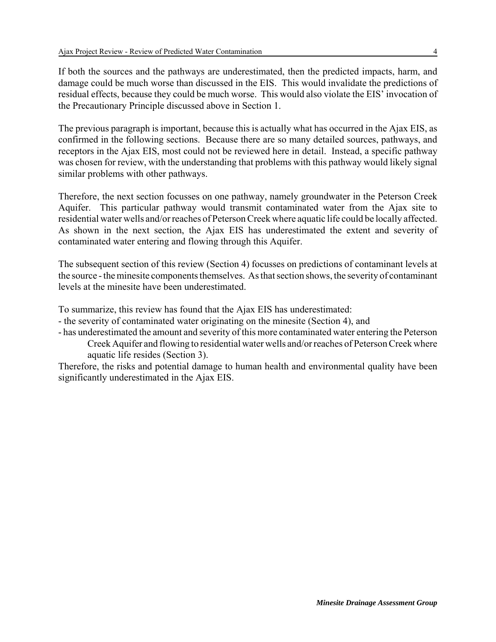If both the sources and the pathways are underestimated, then the predicted impacts, harm, and damage could be much worse than discussed in the EIS. This would invalidate the predictions of residual effects, because they could be much worse. This would also violate the EIS' invocation of the Precautionary Principle discussed above in Section 1.

The previous paragraph is important, because this is actually what has occurred in the Ajax EIS, as confirmed in the following sections. Because there are so many detailed sources, pathways, and receptors in the Ajax EIS, most could not be reviewed here in detail. Instead, a specific pathway was chosen for review, with the understanding that problems with this pathway would likely signal similar problems with other pathways.

Therefore, the next section focusses on one pathway, namely groundwater in the Peterson Creek Aquifer. This particular pathway would transmit contaminated water from the Ajax site to residential water wells and/or reaches of Peterson Creek where aquatic life could be locally affected. As shown in the next section, the Ajax EIS has underestimated the extent and severity of contaminated water entering and flowing through this Aquifer.

The subsequent section of this review (Section 4) focusses on predictions of contaminant levels at the source - the minesite components themselves. As that section shows, the severity of contaminant levels at the minesite have been underestimated.

To summarize, this review has found that the Ajax EIS has underestimated:

- the severity of contaminated water originating on the minesite (Section 4), and
- has underestimated the amount and severity of this more contaminated water entering the Peterson Creek Aquifer and flowing to residential water wells and/or reaches of Peterson Creek where aquatic life resides (Section 3).

Therefore, the risks and potential damage to human health and environmental quality have been significantly underestimated in the Ajax EIS.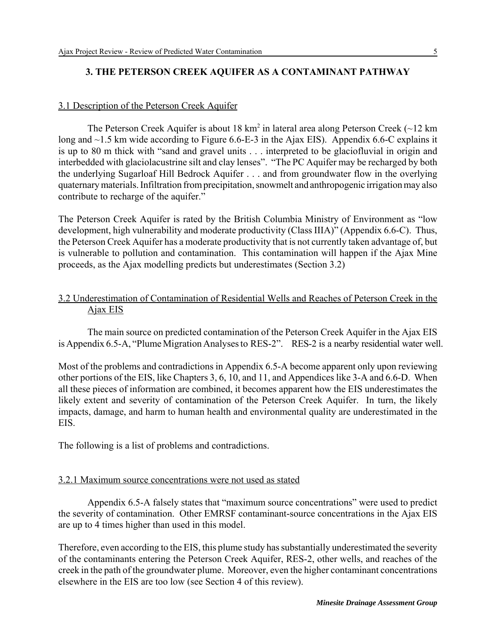# **3. THE PETERSON CREEK AQUIFER AS A CONTAMINANT PATHWAY**

# 3.1 Description of the Peterson Creek Aquifer

The Peterson Creek Aquifer is about 18 km<sup>2</sup> in lateral area along Peterson Creek ( $\sim$ 12 km long and ~1.5 km wide according to Figure 6.6-E-3 in the Ajax EIS). Appendix 6.6-C explains it is up to 80 m thick with "sand and gravel units . . . interpreted to be glaciofluvial in origin and interbedded with glaciolacustrine silt and clay lenses". "The PC Aquifer may be recharged by both the underlying Sugarloaf Hill Bedrock Aquifer . . . and from groundwater flow in the overlying quaternary materials. Infiltration from precipitation, snowmelt and anthropogenic irrigation may also contribute to recharge of the aquifer."

The Peterson Creek Aquifer is rated by the British Columbia Ministry of Environment as "low development, high vulnerability and moderate productivity (Class IIIA)" (Appendix 6.6-C). Thus, the Peterson Creek Aquifer has a moderate productivity that is not currently taken advantage of, but is vulnerable to pollution and contamination. This contamination will happen if the Ajax Mine proceeds, as the Ajax modelling predicts but underestimates (Section 3.2)

# 3.2 Underestimation of Contamination of Residential Wells and Reaches of Peterson Creek in the Ajax EIS

The main source on predicted contamination of the Peterson Creek Aquifer in the Ajax EIS is Appendix 6.5-A, "Plume Migration Analyses to RES-2". RES-2 is a nearby residential water well.

Most of the problems and contradictions in Appendix 6.5-A become apparent only upon reviewing other portions of the EIS, like Chapters 3, 6, 10, and 11, and Appendices like 3-A and 6.6-D. When all these pieces of information are combined, it becomes apparent how the EIS underestimates the likely extent and severity of contamination of the Peterson Creek Aquifer. In turn, the likely impacts, damage, and harm to human health and environmental quality are underestimated in the EIS.

The following is a list of problems and contradictions.

#### 3.2.1 Maximum source concentrations were not used as stated

Appendix 6.5-A falsely states that "maximum source concentrations" were used to predict the severity of contamination. Other EMRSF contaminant-source concentrations in the Ajax EIS are up to 4 times higher than used in this model.

Therefore, even according to the EIS, this plume study has substantially underestimated the severity of the contaminants entering the Peterson Creek Aquifer, RES-2, other wells, and reaches of the creek in the path of the groundwater plume. Moreover, even the higher contaminant concentrations elsewhere in the EIS are too low (see Section 4 of this review).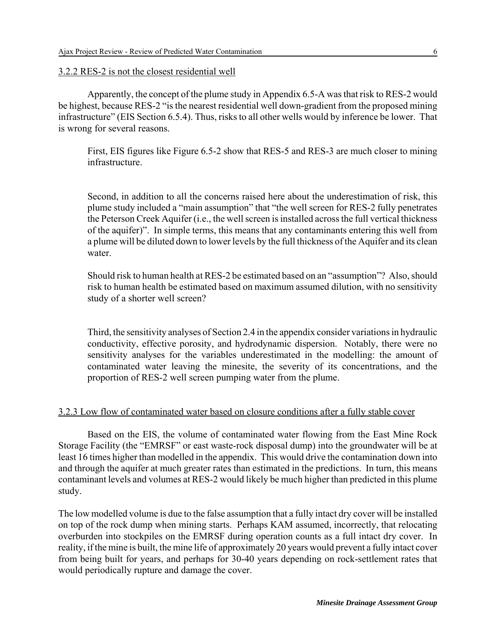#### 3.2.2 RES-2 is not the closest residential well

Apparently, the concept of the plume study in Appendix 6.5-A was that risk to RES-2 would be highest, because RES-2 "is the nearest residential well down-gradient from the proposed mining infrastructure" (EIS Section 6.5.4). Thus, risks to all other wells would by inference be lower. That is wrong for several reasons.

First, EIS figures like Figure 6.5-2 show that RES-5 and RES-3 are much closer to mining infrastructure.

Second, in addition to all the concerns raised here about the underestimation of risk, this plume study included a "main assumption" that "the well screen for RES-2 fully penetrates the Peterson Creek Aquifer (i.e., the well screen is installed across the full vertical thickness of the aquifer)". In simple terms, this means that any contaminants entering this well from a plume will be diluted down to lower levels by the full thickness of the Aquifer and its clean water.

Should risk to human health at RES-2 be estimated based on an "assumption"? Also, should risk to human health be estimated based on maximum assumed dilution, with no sensitivity study of a shorter well screen?

Third, the sensitivity analyses of Section 2.4 in the appendix consider variations in hydraulic conductivity, effective porosity, and hydrodynamic dispersion. Notably, there were no sensitivity analyses for the variables underestimated in the modelling: the amount of contaminated water leaving the minesite, the severity of its concentrations, and the proportion of RES-2 well screen pumping water from the plume.

#### 3.2.3 Low flow of contaminated water based on closure conditions after a fully stable cover

Based on the EIS, the volume of contaminated water flowing from the East Mine Rock Storage Facility (the "EMRSF" or east waste-rock disposal dump) into the groundwater will be at least 16 times higher than modelled in the appendix. This would drive the contamination down into and through the aquifer at much greater rates than estimated in the predictions. In turn, this means contaminant levels and volumes at RES-2 would likely be much higher than predicted in this plume study.

The low modelled volume is due to the false assumption that a fully intact dry cover will be installed on top of the rock dump when mining starts. Perhaps KAM assumed, incorrectly, that relocating overburden into stockpiles on the EMRSF during operation counts as a full intact dry cover. In reality, if the mine is built, the mine life of approximately 20 years would prevent a fully intact cover from being built for years, and perhaps for 30-40 years depending on rock-settlement rates that would periodically rupture and damage the cover.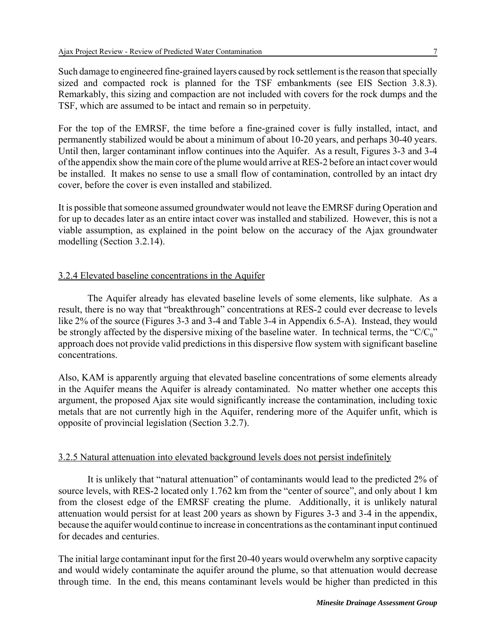Such damage to engineered fine-grained layers caused by rock settlement is the reason that specially sized and compacted rock is planned for the TSF embankments (see EIS Section 3.8.3). Remarkably, this sizing and compaction are not included with covers for the rock dumps and the TSF, which are assumed to be intact and remain so in perpetuity.

For the top of the EMRSF, the time before a fine-grained cover is fully installed, intact, and permanently stabilized would be about a minimum of about 10-20 years, and perhaps 30-40 years. Until then, larger contaminant inflow continues into the Aquifer. As a result, Figures 3-3 and 3-4 of the appendix show the main core of the plume would arrive at RES-2 before an intact cover would be installed. It makes no sense to use a small flow of contamination, controlled by an intact dry cover, before the cover is even installed and stabilized.

It is possible that someone assumed groundwater would not leave the EMRSF during Operation and for up to decades later as an entire intact cover was installed and stabilized. However, this is not a viable assumption, as explained in the point below on the accuracy of the Ajax groundwater modelling (Section 3.2.14).

#### 3.2.4 Elevated baseline concentrations in the Aquifer

The Aquifer already has elevated baseline levels of some elements, like sulphate. As a result, there is no way that "breakthrough" concentrations at RES-2 could ever decrease to levels like 2% of the source (Figures 3-3 and 3-4 and Table 3-4 in Appendix 6.5-A). Instead, they would be strongly affected by the dispersive mixing of the baseline water. In technical terms, the "C/C<sub>0</sub>" approach does not provide valid predictions in this dispersive flow system with significant baseline concentrations.

Also, KAM is apparently arguing that elevated baseline concentrations of some elements already in the Aquifer means the Aquifer is already contaminated. No matter whether one accepts this argument, the proposed Ajax site would significantly increase the contamination, including toxic metals that are not currently high in the Aquifer, rendering more of the Aquifer unfit, which is opposite of provincial legislation (Section 3.2.7).

#### 3.2.5 Natural attenuation into elevated background levels does not persist indefinitely

It is unlikely that "natural attenuation" of contaminants would lead to the predicted 2% of source levels, with RES-2 located only 1.762 km from the "center of source", and only about 1 km from the closest edge of the EMRSF creating the plume. Additionally, it is unlikely natural attenuation would persist for at least 200 years as shown by Figures 3-3 and 3-4 in the appendix, because the aquifer would continue to increase in concentrations as the contaminant input continued for decades and centuries.

The initial large contaminant input for the first 20-40 years would overwhelm any sorptive capacity and would widely contaminate the aquifer around the plume, so that attenuation would decrease through time. In the end, this means contaminant levels would be higher than predicted in this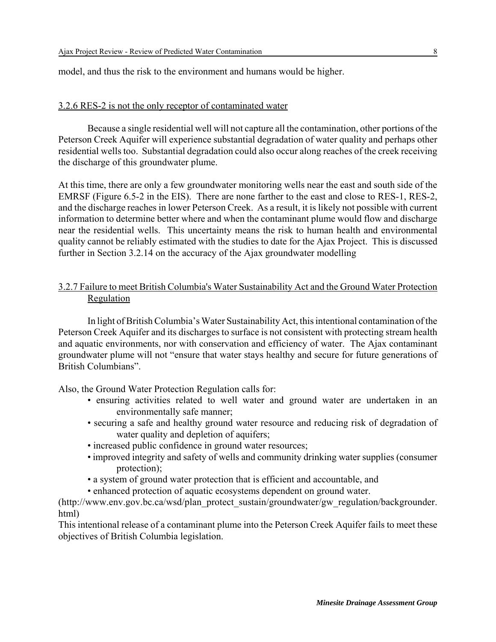model, and thus the risk to the environment and humans would be higher.

#### 3.2.6 RES-2 is not the only receptor of contaminated water

Because a single residential well will not capture all the contamination, other portions of the Peterson Creek Aquifer will experience substantial degradation of water quality and perhaps other residential wells too. Substantial degradation could also occur along reaches of the creek receiving the discharge of this groundwater plume.

At this time, there are only a few groundwater monitoring wells near the east and south side of the EMRSF (Figure 6.5-2 in the EIS). There are none farther to the east and close to RES-1, RES-2, and the discharge reaches in lower Peterson Creek. As a result, it is likely not possible with current information to determine better where and when the contaminant plume would flow and discharge near the residential wells. This uncertainty means the risk to human health and environmental quality cannot be reliably estimated with the studies to date for the Ajax Project. This is discussed further in Section 3.2.14 on the accuracy of the Ajax groundwater modelling

# 3.2.7 Failure to meet British Columbia's Water Sustainability Act and the Ground Water Protection **Regulation**

In light of British Columbia's Water Sustainability Act, this intentional contamination of the Peterson Creek Aquifer and its discharges to surface is not consistent with protecting stream health and aquatic environments, nor with conservation and efficiency of water. The Ajax contaminant groundwater plume will not "ensure that water stays healthy and secure for future generations of British Columbians".

Also, the Ground Water Protection Regulation calls for:

- ensuring activities related to well water and ground water are undertaken in an environmentally safe manner;
- securing a safe and healthy ground water resource and reducing risk of degradation of water quality and depletion of aquifers;
- increased public confidence in ground water resources;
- improved integrity and safety of wells and community drinking water supplies (consumer protection);
- a system of ground water protection that is efficient and accountable, and
- enhanced protection of aquatic ecosystems dependent on ground water.

(http://www.env.gov.bc.ca/wsd/plan\_protect\_sustain/groundwater/gw\_regulation/backgrounder. html)

This intentional release of a contaminant plume into the Peterson Creek Aquifer fails to meet these objectives of British Columbia legislation.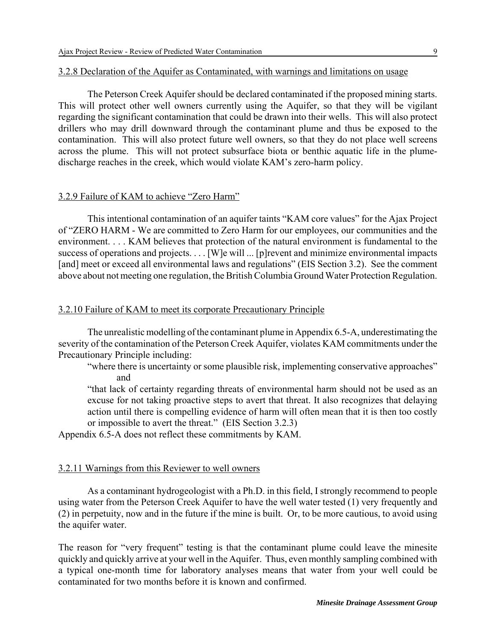#### 3.2.8 Declaration of the Aquifer as Contaminated, with warnings and limitations on usage

The Peterson Creek Aquifer should be declared contaminated if the proposed mining starts. This will protect other well owners currently using the Aquifer, so that they will be vigilant regarding the significant contamination that could be drawn into their wells. This will also protect drillers who may drill downward through the contaminant plume and thus be exposed to the contamination. This will also protect future well owners, so that they do not place well screens across the plume. This will not protect subsurface biota or benthic aquatic life in the plumedischarge reaches in the creek, which would violate KAM's zero-harm policy.

#### 3.2.9 Failure of KAM to achieve "Zero Harm"

This intentional contamination of an aquifer taints "KAM core values" for the Ajax Project of "ZERO HARM - We are committed to Zero Harm for our employees, our communities and the environment. . . . KAM believes that protection of the natural environment is fundamental to the success of operations and projects. . . . [W]e will ... [p]revent and minimize environmental impacts [and] meet or exceed all environmental laws and regulations" (EIS Section 3.2). See the comment above about not meeting one regulation, the British Columbia Ground Water Protection Regulation.

#### 3.2.10 Failure of KAM to meet its corporate Precautionary Principle

The unrealistic modelling of the contaminant plume in Appendix 6.5-A, underestimating the severity of the contamination of the Peterson Creek Aquifer, violates KAM commitments under the Precautionary Principle including:

"where there is uncertainty or some plausible risk, implementing conservative approaches" and

"that lack of certainty regarding threats of environmental harm should not be used as an excuse for not taking proactive steps to avert that threat. It also recognizes that delaying action until there is compelling evidence of harm will often mean that it is then too costly or impossible to avert the threat." (EIS Section 3.2.3)

Appendix 6.5-A does not reflect these commitments by KAM.

#### 3.2.11 Warnings from this Reviewer to well owners

As a contaminant hydrogeologist with a Ph.D. in this field, I strongly recommend to people using water from the Peterson Creek Aquifer to have the well water tested (1) very frequently and (2) in perpetuity, now and in the future if the mine is built. Or, to be more cautious, to avoid using the aquifer water.

The reason for "very frequent" testing is that the contaminant plume could leave the minesite quickly and quickly arrive at your well in the Aquifer. Thus, even monthly sampling combined with a typical one-month time for laboratory analyses means that water from your well could be contaminated for two months before it is known and confirmed.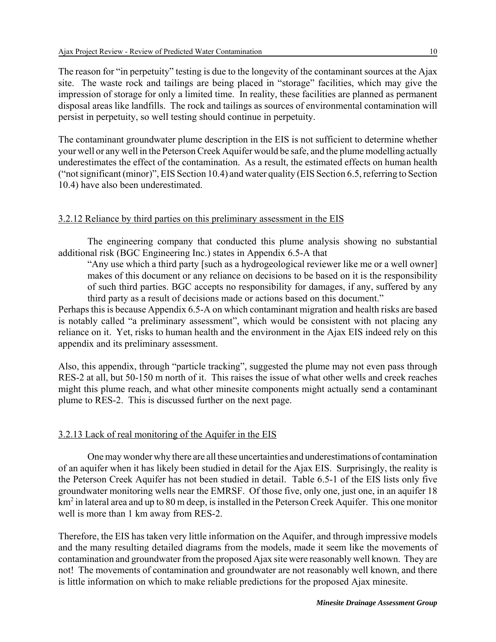The reason for "in perpetuity" testing is due to the longevity of the contaminant sources at the Ajax site. The waste rock and tailings are being placed in "storage" facilities, which may give the impression of storage for only a limited time. In reality, these facilities are planned as permanent disposal areas like landfills. The rock and tailings as sources of environmental contamination will persist in perpetuity, so well testing should continue in perpetuity.

The contaminant groundwater plume description in the EIS is not sufficient to determine whether your well or any well in the Peterson Creek Aquifer would be safe, and the plume modelling actually underestimates the effect of the contamination. As a result, the estimated effects on human health ("not significant (minor)", EIS Section 10.4) and water quality (EIS Section 6.5, referring to Section 10.4) have also been underestimated.

#### 3.2.12 Reliance by third parties on this preliminary assessment in the EIS

The engineering company that conducted this plume analysis showing no substantial additional risk (BGC Engineering Inc.) states in Appendix 6.5-A that

"Any use which a third party [such as a hydrogeological reviewer like me or a well owner] makes of this document or any reliance on decisions to be based on it is the responsibility of such third parties. BGC accepts no responsibility for damages, if any, suffered by any third party as a result of decisions made or actions based on this document."

Perhaps this is because Appendix 6.5-A on which contaminant migration and health risks are based is notably called "a preliminary assessment", which would be consistent with not placing any reliance on it. Yet, risks to human health and the environment in the Ajax EIS indeed rely on this appendix and its preliminary assessment.

Also, this appendix, through "particle tracking", suggested the plume may not even pass through RES-2 at all, but 50-150 m north of it. This raises the issue of what other wells and creek reaches might this plume reach, and what other minesite components might actually send a contaminant plume to RES-2. This is discussed further on the next page.

#### 3.2.13 Lack of real monitoring of the Aquifer in the EIS

One may wonder why there are all these uncertainties and underestimations of contamination of an aquifer when it has likely been studied in detail for the Ajax EIS. Surprisingly, the reality is the Peterson Creek Aquifer has not been studied in detail. Table 6.5-1 of the EIS lists only five groundwater monitoring wells near the EMRSF. Of those five, only one, just one, in an aquifer 18 km<sup>2</sup> in lateral area and up to 80 m deep, is installed in the Peterson Creek Aquifer. This one monitor well is more than 1 km away from RES-2.

Therefore, the EIS has taken very little information on the Aquifer, and through impressive models and the many resulting detailed diagrams from the models, made it seem like the movements of contamination and groundwater from the proposed Ajax site were reasonably well known. They are not! The movements of contamination and groundwater are not reasonably well known, and there is little information on which to make reliable predictions for the proposed Ajax minesite.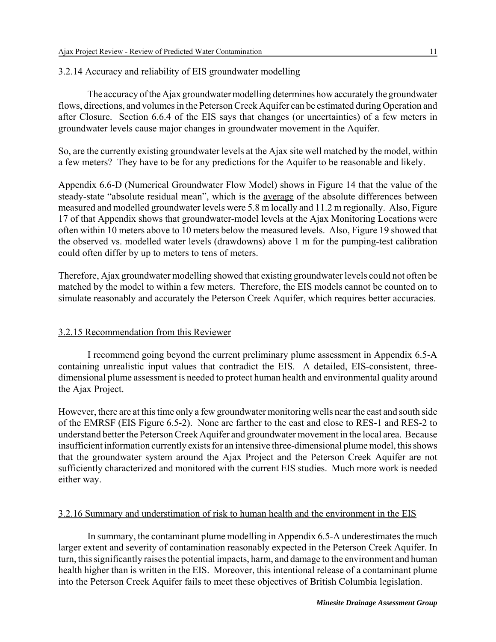# 3.2.14 Accuracy and reliability of EIS groundwater modelling

The accuracy of the Ajax groundwater modelling determines how accurately the groundwater flows, directions, and volumes in the Peterson Creek Aquifer can be estimated during Operation and after Closure. Section 6.6.4 of the EIS says that changes (or uncertainties) of a few meters in groundwater levels cause major changes in groundwater movement in the Aquifer.

So, are the currently existing groundwater levels at the Ajax site well matched by the model, within a few meters? They have to be for any predictions for the Aquifer to be reasonable and likely.

Appendix 6.6-D (Numerical Groundwater Flow Model) shows in Figure 14 that the value of the steady-state "absolute residual mean", which is the average of the absolute differences between measured and modelled groundwater levels were 5.8 m locally and 11.2 m regionally. Also, Figure 17 of that Appendix shows that groundwater-model levels at the Ajax Monitoring Locations were often within 10 meters above to 10 meters below the measured levels. Also, Figure 19 showed that the observed vs. modelled water levels (drawdowns) above 1 m for the pumping-test calibration could often differ by up to meters to tens of meters.

Therefore, Ajax groundwater modelling showed that existing groundwater levels could not often be matched by the model to within a few meters. Therefore, the EIS models cannot be counted on to simulate reasonably and accurately the Peterson Creek Aquifer, which requires better accuracies.

# 3.2.15 Recommendation from this Reviewer

I recommend going beyond the current preliminary plume assessment in Appendix 6.5-A containing unrealistic input values that contradict the EIS. A detailed, EIS-consistent, threedimensional plume assessment is needed to protect human health and environmental quality around the Ajax Project.

However, there are at this time only a few groundwater monitoring wells near the east and south side of the EMRSF (EIS Figure 6.5-2). None are farther to the east and close to RES-1 and RES-2 to understand better the Peterson Creek Aquifer and groundwater movement in the local area. Because insufficient information currently exists for an intensive three-dimensional plume model, this shows that the groundwater system around the Ajax Project and the Peterson Creek Aquifer are not sufficiently characterized and monitored with the current EIS studies. Much more work is needed either way.

#### 3.2.16 Summary and understimation of risk to human health and the environment in the EIS

In summary, the contaminant plume modelling in Appendix 6.5-A underestimates the much larger extent and severity of contamination reasonably expected in the Peterson Creek Aquifer. In turn, this significantly raises the potential impacts, harm, and damage to the environment and human health higher than is written in the EIS. Moreover, this intentional release of a contaminant plume into the Peterson Creek Aquifer fails to meet these objectives of British Columbia legislation.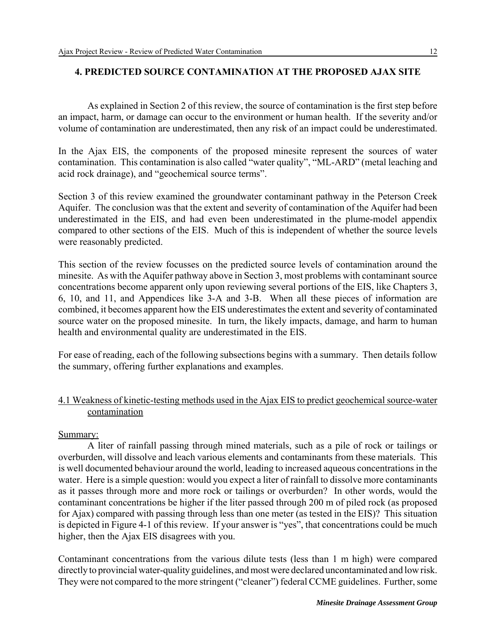# **4. PREDICTED SOURCE CONTAMINATION AT THE PROPOSED AJAX SITE**

As explained in Section 2 of this review, the source of contamination is the first step before an impact, harm, or damage can occur to the environment or human health. If the severity and/or volume of contamination are underestimated, then any risk of an impact could be underestimated.

In the Ajax EIS, the components of the proposed minesite represent the sources of water contamination. This contamination is also called "water quality", "ML-ARD" (metal leaching and acid rock drainage), and "geochemical source terms".

Section 3 of this review examined the groundwater contaminant pathway in the Peterson Creek Aquifer. The conclusion was that the extent and severity of contamination of the Aquifer had been underestimated in the EIS, and had even been underestimated in the plume-model appendix compared to other sections of the EIS. Much of this is independent of whether the source levels were reasonably predicted.

This section of the review focusses on the predicted source levels of contamination around the minesite. As with the Aquifer pathway above in Section 3, most problems with contaminant source concentrations become apparent only upon reviewing several portions of the EIS, like Chapters 3, 6, 10, and 11, and Appendices like 3-A and 3-B. When all these pieces of information are combined, it becomes apparent how the EIS underestimates the extent and severity of contaminated source water on the proposed minesite. In turn, the likely impacts, damage, and harm to human health and environmental quality are underestimated in the EIS.

For ease of reading, each of the following subsections begins with a summary. Then details follow the summary, offering further explanations and examples.

# 4.1 Weakness of kinetic-testing methods used in the Ajax EIS to predict geochemical source-water contamination

#### Summary:

A liter of rainfall passing through mined materials, such as a pile of rock or tailings or overburden, will dissolve and leach various elements and contaminants from these materials. This is well documented behaviour around the world, leading to increased aqueous concentrations in the water. Here is a simple question: would you expect a liter of rainfall to dissolve more contaminants as it passes through more and more rock or tailings or overburden? In other words, would the contaminant concentrations be higher if the liter passed through 200 m of piled rock (as proposed for Ajax) compared with passing through less than one meter (as tested in the EIS)? This situation is depicted in Figure 4-1 of this review. If your answer is "yes", that concentrations could be much higher, then the Ajax EIS disagrees with you.

Contaminant concentrations from the various dilute tests (less than 1 m high) were compared directly to provincial water-quality guidelines, and most were declared uncontaminated and low risk. They were not compared to the more stringent ("cleaner") federal CCME guidelines. Further, some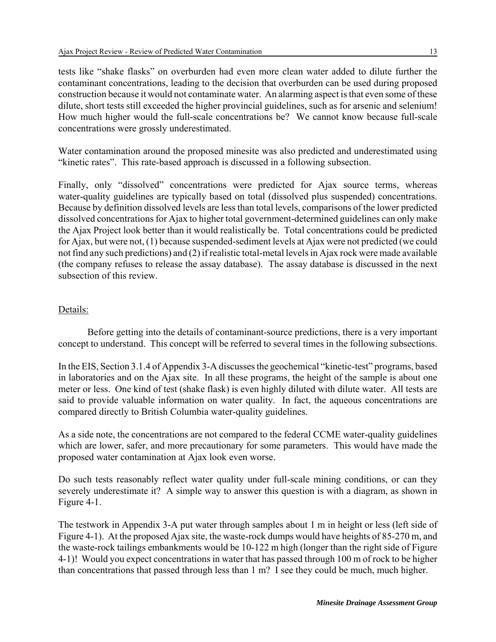Water contamination around the proposed minesite was also predicted and underestimated using "kinetic rates". This rate-based approach is discussed in a following subsection.

Finally, only "dissolved" concentrations were predicted for Ajax source terms, whereas water-quality guidelines are typically based on total (dissolved plus suspended) concentrations. Because by definition dissolved levels are less than total levels, comparisons of the lower predicted dissolved concentrations for Ajax to higher total government-determined guidelines can only make the Ajax Project look better than it would realistically be. Total concentrations could be predicted for Ajax, but were not, (1) because suspended-sediment levels at Ajax were not predicted (we could not find any such predictions) and (2) if realistic total-metal levels in Ajax rock were made available (the company refuses to release the assay database). The assay database is discussed in the next subsection of this review.

# Details:

Before getting into the details of contaminant-source predictions, there is a very important concept to understand. This concept will be referred to several times in the following subsections.

In the EIS, Section 3.1.4 of Appendix 3-A discusses the geochemical "kinetic-test" programs, based in laboratories and on the Ajax site. In all these programs, the height of the sample is about one meter or less. One kind of test (shake flask) is even highly diluted with dilute water. All tests are said to provide valuable information on water quality. In fact, the aqueous concentrations are compared directly to British Columbia water-quality guidelines.

As a side note, the concentrations are not compared to the federal CCME water-quality guidelines which are lower, safer, and more precautionary for some parameters. This would have made the proposed water contamination at Ajax look even worse.

Do such tests reasonably reflect water quality under full-scale mining conditions, or can they severely underestimate it? A simple way to answer this question is with a diagram, as shown in Figure 4-1.

The testwork in Appendix 3-A put water through samples about 1 m in height or less (left side of Figure 4-1). At the proposed Ajax site, the waste-rock dumps would have heights of 85-270 m, and the waste-rock tailings embankments would be 10-122 m high (longer than the right side of Figure 4-1)! Would you expect concentrations in water that has passed through 100 m of rock to be higher than concentrations that passed through less than 1 m? I see they could be much, much higher.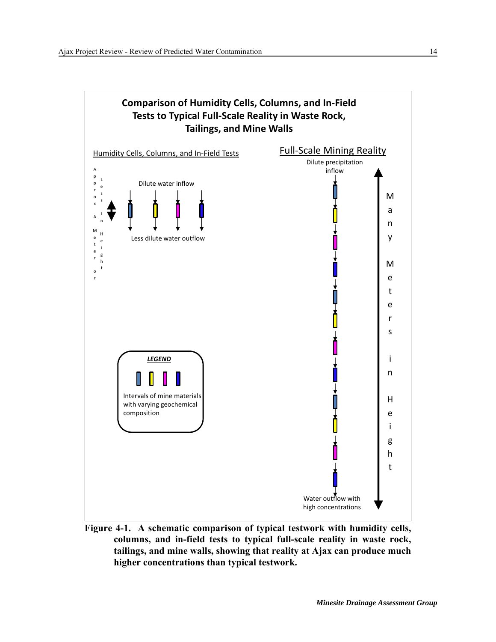

**Figure 4-1. A schematic comparison of typical testwork with humidity cells, columns, and in-field tests to typical full-scale reality in waste rock, tailings, and mine walls, showing that reality at Ajax can produce much higher concentrations than typical testwork.**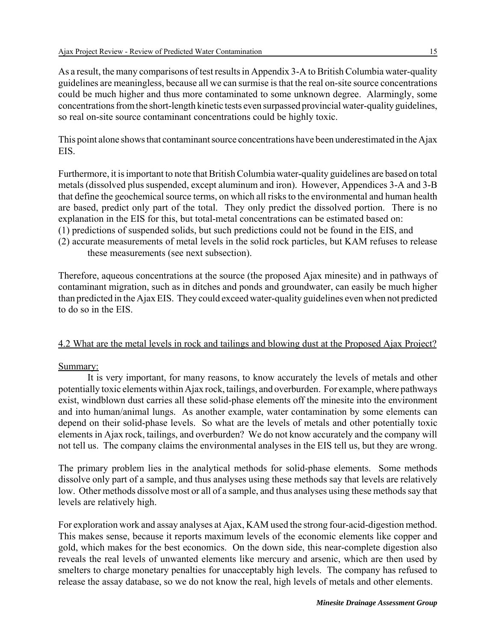As a result, the many comparisons of test results in Appendix 3-A to British Columbia water-quality guidelines are meaningless, because all we can surmise is that the real on-site source concentrations could be much higher and thus more contaminated to some unknown degree. Alarmingly, some concentrations from the short-length kinetic tests even surpassed provincial water-quality guidelines, so real on-site source contaminant concentrations could be highly toxic.

This point alone shows that contaminant source concentrations have been underestimated in the Ajax EIS.

Furthermore, it is important to note that British Columbia water-quality guidelines are based on total metals (dissolved plus suspended, except aluminum and iron). However, Appendices 3-A and 3-B that define the geochemical source terms, on which all risks to the environmental and human health are based, predict only part of the total. They only predict the dissolved portion. There is no explanation in the EIS for this, but total-metal concentrations can be estimated based on:

- (1) predictions of suspended solids, but such predictions could not be found in the EIS, and
- (2) accurate measurements of metal levels in the solid rock particles, but KAM refuses to release these measurements (see next subsection).

Therefore, aqueous concentrations at the source (the proposed Ajax minesite) and in pathways of contaminant migration, such as in ditches and ponds and groundwater, can easily be much higher than predicted in the Ajax EIS. They could exceed water-quality guidelines even when not predicted to do so in the EIS.

# 4.2 What are the metal levels in rock and tailings and blowing dust at the Proposed Ajax Project?

# Summary:

It is very important, for many reasons, to know accurately the levels of metals and other potentially toxic elements within Ajax rock, tailings, and overburden. For example, where pathways exist, windblown dust carries all these solid-phase elements off the minesite into the environment and into human/animal lungs. As another example, water contamination by some elements can depend on their solid-phase levels. So what are the levels of metals and other potentially toxic elements in Ajax rock, tailings, and overburden? We do not know accurately and the company will not tell us. The company claims the environmental analyses in the EIS tell us, but they are wrong.

The primary problem lies in the analytical methods for solid-phase elements. Some methods dissolve only part of a sample, and thus analyses using these methods say that levels are relatively low. Other methods dissolve most or all of a sample, and thus analyses using these methods say that levels are relatively high.

For exploration work and assay analyses at Ajax, KAM used the strong four-acid-digestion method. This makes sense, because it reports maximum levels of the economic elements like copper and gold, which makes for the best economics. On the down side, this near-complete digestion also reveals the real levels of unwanted elements like mercury and arsenic, which are then used by smelters to charge monetary penalties for unacceptably high levels. The company has refused to release the assay database, so we do not know the real, high levels of metals and other elements.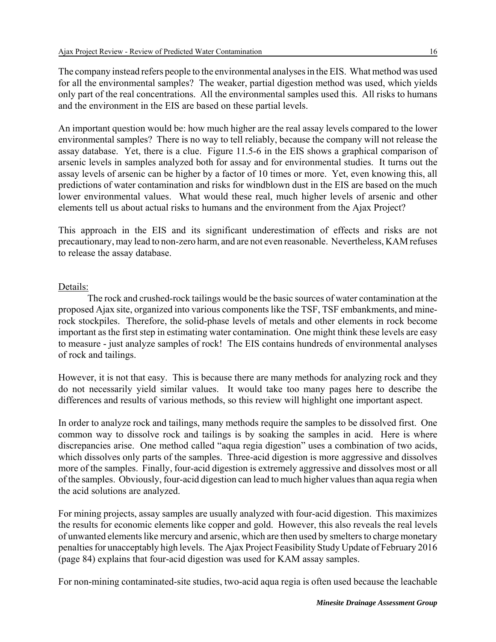The company instead refers people to the environmental analyses in the EIS. What method was used for all the environmental samples? The weaker, partial digestion method was used, which yields only part of the real concentrations. All the environmental samples used this. All risks to humans and the environment in the EIS are based on these partial levels.

An important question would be: how much higher are the real assay levels compared to the lower environmental samples? There is no way to tell reliably, because the company will not release the assay database. Yet, there is a clue. Figure 11.5-6 in the EIS shows a graphical comparison of arsenic levels in samples analyzed both for assay and for environmental studies. It turns out the assay levels of arsenic can be higher by a factor of 10 times or more. Yet, even knowing this, all predictions of water contamination and risks for windblown dust in the EIS are based on the much lower environmental values. What would these real, much higher levels of arsenic and other elements tell us about actual risks to humans and the environment from the Ajax Project?

This approach in the EIS and its significant underestimation of effects and risks are not precautionary, may lead to non-zero harm, and are not even reasonable. Nevertheless, KAM refuses to release the assay database.

# Details:

The rock and crushed-rock tailings would be the basic sources of water contamination at the proposed Ajax site, organized into various components like the TSF, TSF embankments, and minerock stockpiles. Therefore, the solid-phase levels of metals and other elements in rock become important as the first step in estimating water contamination. One might think these levels are easy to measure - just analyze samples of rock! The EIS contains hundreds of environmental analyses of rock and tailings.

However, it is not that easy. This is because there are many methods for analyzing rock and they do not necessarily yield similar values. It would take too many pages here to describe the differences and results of various methods, so this review will highlight one important aspect.

In order to analyze rock and tailings, many methods require the samples to be dissolved first. One common way to dissolve rock and tailings is by soaking the samples in acid. Here is where discrepancies arise. One method called "aqua regia digestion" uses a combination of two acids, which dissolves only parts of the samples. Three-acid digestion is more aggressive and dissolves more of the samples. Finally, four-acid digestion is extremely aggressive and dissolves most or all of the samples. Obviously, four-acid digestion can lead to much higher values than aqua regia when the acid solutions are analyzed.

For mining projects, assay samples are usually analyzed with four-acid digestion. This maximizes the results for economic elements like copper and gold. However, this also reveals the real levels of unwanted elements like mercury and arsenic, which are then used by smelters to charge monetary penalties for unacceptably high levels. The Ajax Project Feasibility Study Update of February 2016 (page 84) explains that four-acid digestion was used for KAM assay samples.

For non-mining contaminated-site studies, two-acid aqua regia is often used because the leachable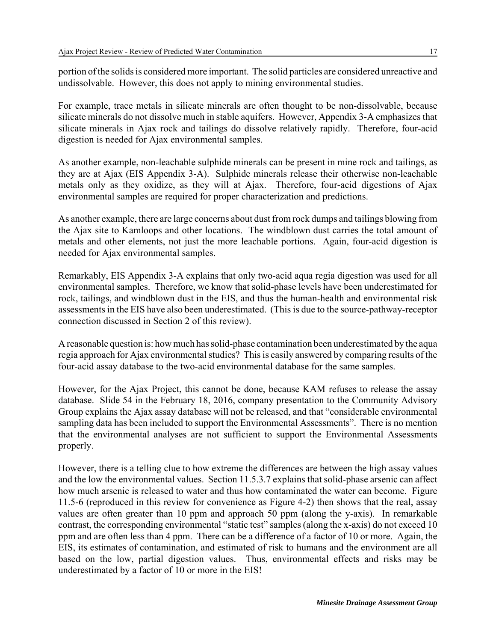portion of the solids is considered more important. The solid particles are considered unreactive and undissolvable. However, this does not apply to mining environmental studies.

For example, trace metals in silicate minerals are often thought to be non-dissolvable, because silicate minerals do not dissolve much in stable aquifers. However, Appendix 3-A emphasizes that silicate minerals in Ajax rock and tailings do dissolve relatively rapidly. Therefore, four-acid digestion is needed for Ajax environmental samples.

As another example, non-leachable sulphide minerals can be present in mine rock and tailings, as they are at Ajax (EIS Appendix 3-A). Sulphide minerals release their otherwise non-leachable metals only as they oxidize, as they will at Ajax. Therefore, four-acid digestions of Ajax environmental samples are required for proper characterization and predictions.

As another example, there are large concerns about dust from rock dumps and tailings blowing from the Ajax site to Kamloops and other locations. The windblown dust carries the total amount of metals and other elements, not just the more leachable portions. Again, four-acid digestion is needed for Ajax environmental samples.

Remarkably, EIS Appendix 3-A explains that only two-acid aqua regia digestion was used for all environmental samples. Therefore, we know that solid-phase levels have been underestimated for rock, tailings, and windblown dust in the EIS, and thus the human-health and environmental risk assessments in the EIS have also been underestimated. (This is due to the source-pathway-receptor connection discussed in Section 2 of this review).

A reasonable question is: how much has solid-phase contamination been underestimated by the aqua regia approach for Ajax environmental studies? This is easily answered by comparing results of the four-acid assay database to the two-acid environmental database for the same samples.

However, for the Ajax Project, this cannot be done, because KAM refuses to release the assay database. Slide 54 in the February 18, 2016, company presentation to the Community Advisory Group explains the Ajax assay database will not be released, and that "considerable environmental sampling data has been included to support the Environmental Assessments". There is no mention that the environmental analyses are not sufficient to support the Environmental Assessments properly.

However, there is a telling clue to how extreme the differences are between the high assay values and the low the environmental values. Section 11.5.3.7 explains that solid-phase arsenic can affect how much arsenic is released to water and thus how contaminated the water can become. Figure 11.5-6 (reproduced in this review for convenience as Figure 4-2) then shows that the real, assay values are often greater than 10 ppm and approach 50 ppm (along the y-axis). In remarkable contrast, the corresponding environmental "static test" samples (along the x-axis) do not exceed 10 ppm and are often less than 4 ppm. There can be a difference of a factor of 10 or more. Again, the EIS, its estimates of contamination, and estimated of risk to humans and the environment are all based on the low, partial digestion values. Thus, environmental effects and risks may be underestimated by a factor of 10 or more in the EIS!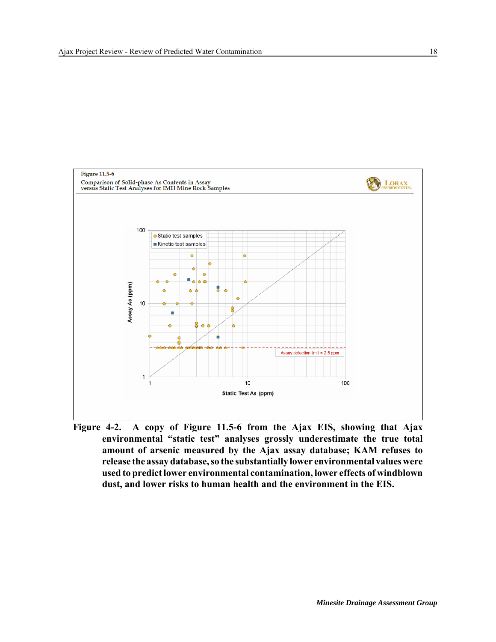

**Figure 4-2. A copy of Figure 11.5-6 from the Ajax EIS, showing that Ajax environmental "static test" analyses grossly underestimate the true total amount of arsenic measured by the Ajax assay database; KAM refuses to release the assay database, so the substantially lower environmental values were used to predict lower environmental contamination, lower effects of windblown dust, and lower risks to human health and the environment in the EIS.**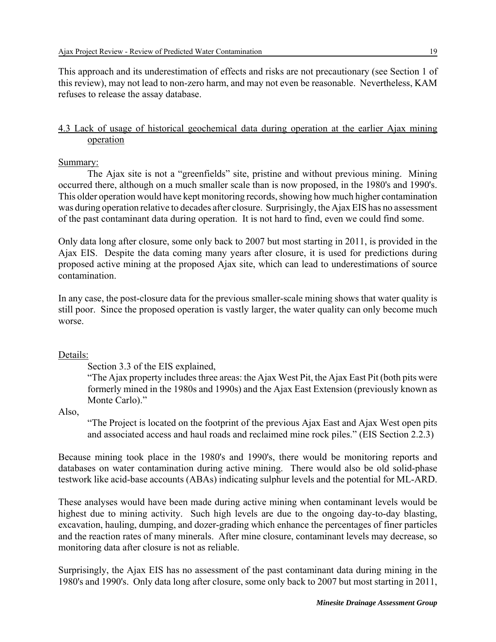This approach and its underestimation of effects and risks are not precautionary (see Section 1 of this review), may not lead to non-zero harm, and may not even be reasonable. Nevertheless, KAM refuses to release the assay database.

# 4.3 Lack of usage of historical geochemical data during operation at the earlier Ajax mining operation

#### Summary:

The Ajax site is not a "greenfields" site, pristine and without previous mining. Mining occurred there, although on a much smaller scale than is now proposed, in the 1980's and 1990's. This older operation would have kept monitoring records, showing how much higher contamination was during operation relative to decades after closure. Surprisingly, the Ajax EIS has no assessment of the past contaminant data during operation. It is not hard to find, even we could find some.

Only data long after closure, some only back to 2007 but most starting in 2011, is provided in the Ajax EIS. Despite the data coming many years after closure, it is used for predictions during proposed active mining at the proposed Ajax site, which can lead to underestimations of source contamination.

In any case, the post-closure data for the previous smaller-scale mining shows that water quality is still poor. Since the proposed operation is vastly larger, the water quality can only become much worse.

#### Details:

Section 3.3 of the EIS explained,

"The Ajax property includes three areas: the Ajax West Pit, the Ajax East Pit (both pits were formerly mined in the 1980s and 1990s) and the Ajax East Extension (previously known as Monte Carlo)."

Also,

"The Project is located on the footprint of the previous Ajax East and Ajax West open pits and associated access and haul roads and reclaimed mine rock piles." (EIS Section 2.2.3)

Because mining took place in the 1980's and 1990's, there would be monitoring reports and databases on water contamination during active mining. There would also be old solid-phase testwork like acid-base accounts (ABAs) indicating sulphur levels and the potential for ML-ARD.

These analyses would have been made during active mining when contaminant levels would be highest due to mining activity. Such high levels are due to the ongoing day-to-day blasting, excavation, hauling, dumping, and dozer-grading which enhance the percentages of finer particles and the reaction rates of many minerals. After mine closure, contaminant levels may decrease, so monitoring data after closure is not as reliable.

Surprisingly, the Ajax EIS has no assessment of the past contaminant data during mining in the 1980's and 1990's. Only data long after closure, some only back to 2007 but most starting in 2011,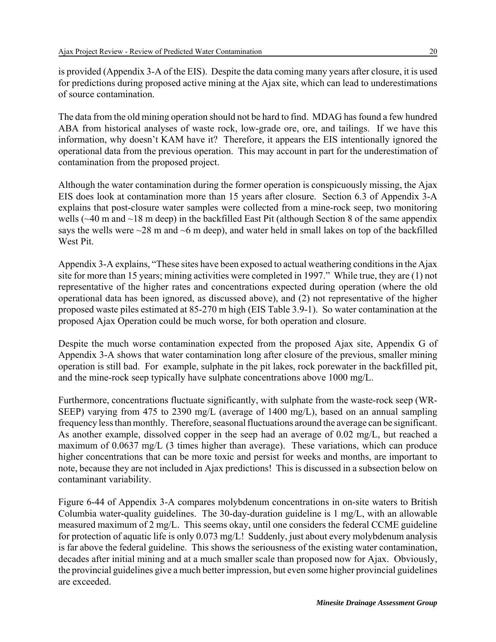is provided (Appendix 3-A of the EIS). Despite the data coming many years after closure, it is used for predictions during proposed active mining at the Ajax site, which can lead to underestimations of source contamination.

The data from the old mining operation should not be hard to find. MDAG has found a few hundred ABA from historical analyses of waste rock, low-grade ore, ore, and tailings. If we have this information, why doesn't KAM have it? Therefore, it appears the EIS intentionally ignored the operational data from the previous operation. This may account in part for the underestimation of contamination from the proposed project.

Although the water contamination during the former operation is conspicuously missing, the Ajax EIS does look at contamination more than 15 years after closure. Section 6.3 of Appendix 3-A explains that post-closure water samples were collected from a mine-rock seep, two monitoring wells ( $\sim$ 40 m and  $\sim$ 18 m deep) in the backfilled East Pit (although Section 8 of the same appendix says the wells were ~28 m and ~6 m deep), and water held in small lakes on top of the backfilled West Pit.

Appendix 3-A explains, "These sites have been exposed to actual weathering conditions in the Ajax site for more than 15 years; mining activities were completed in 1997." While true, they are (1) not representative of the higher rates and concentrations expected during operation (where the old operational data has been ignored, as discussed above), and (2) not representative of the higher proposed waste piles estimated at 85-270 m high (EIS Table 3.9-1). So water contamination at the proposed Ajax Operation could be much worse, for both operation and closure.

Despite the much worse contamination expected from the proposed Ajax site, Appendix G of Appendix 3-A shows that water contamination long after closure of the previous, smaller mining operation is still bad. For example, sulphate in the pit lakes, rock porewater in the backfilled pit, and the mine-rock seep typically have sulphate concentrations above 1000 mg/L.

Furthermore, concentrations fluctuate significantly, with sulphate from the waste-rock seep (WR-SEEP) varying from 475 to 2390 mg/L (average of 1400 mg/L), based on an annual sampling frequency less than monthly. Therefore, seasonal fluctuations around the average can be significant. As another example, dissolved copper in the seep had an average of 0.02 mg/L, but reached a maximum of 0.0637 mg/L (3 times higher than average). These variations, which can produce higher concentrations that can be more toxic and persist for weeks and months, are important to note, because they are not included in Ajax predictions! This is discussed in a subsection below on contaminant variability.

Figure 6-44 of Appendix 3-A compares molybdenum concentrations in on-site waters to British Columbia water-quality guidelines. The 30-day-duration guideline is 1 mg/L, with an allowable measured maximum of 2 mg/L. This seems okay, until one considers the federal CCME guideline for protection of aquatic life is only 0.073 mg/L! Suddenly, just about every molybdenum analysis is far above the federal guideline. This shows the seriousness of the existing water contamination, decades after initial mining and at a much smaller scale than proposed now for Ajax. Obviously, the provincial guidelines give a much better impression, but even some higher provincial guidelines are exceeded.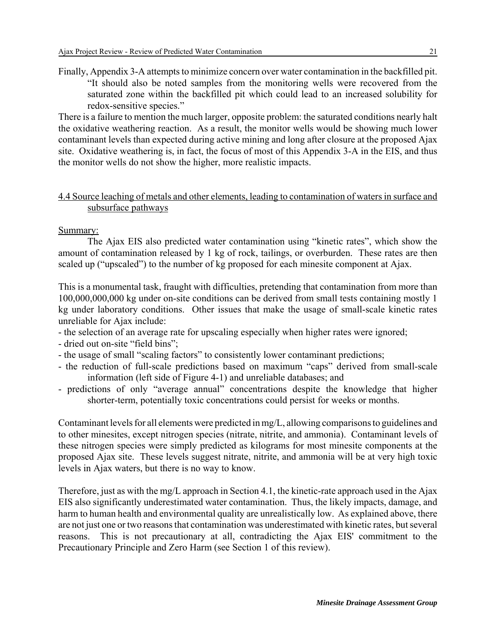Finally, Appendix 3-A attempts to minimize concern over water contamination in the backfilled pit. "It should also be noted samples from the monitoring wells were recovered from the saturated zone within the backfilled pit which could lead to an increased solubility for redox-sensitive species."

There is a failure to mention the much larger, opposite problem: the saturated conditions nearly halt the oxidative weathering reaction. As a result, the monitor wells would be showing much lower contaminant levels than expected during active mining and long after closure at the proposed Ajax site. Oxidative weathering is, in fact, the focus of most of this Appendix 3-A in the EIS, and thus the monitor wells do not show the higher, more realistic impacts.

# 4.4 Source leaching of metals and other elements, leading to contamination of waters in surface and subsurface pathways

# Summary:

The Ajax EIS also predicted water contamination using "kinetic rates", which show the amount of contamination released by 1 kg of rock, tailings, or overburden. These rates are then scaled up ("upscaled") to the number of kg proposed for each minesite component at Ajax.

This is a monumental task, fraught with difficulties, pretending that contamination from more than 100,000,000,000 kg under on-site conditions can be derived from small tests containing mostly 1 kg under laboratory conditions. Other issues that make the usage of small-scale kinetic rates unreliable for Ajax include:

- the selection of an average rate for upscaling especially when higher rates were ignored;
- dried out on-site "field bins";
- the usage of small "scaling factors" to consistently lower contaminant predictions;
- the reduction of full-scale predictions based on maximum "caps" derived from small-scale information (left side of Figure 4-1) and unreliable databases; and
- predictions of only "average annual" concentrations despite the knowledge that higher shorter-term, potentially toxic concentrations could persist for weeks or months.

Contaminant levels for all elements were predicted in mg/L, allowing comparisons to guidelines and to other minesites, except nitrogen species (nitrate, nitrite, and ammonia). Contaminant levels of these nitrogen species were simply predicted as kilograms for most minesite components at the proposed Ajax site. These levels suggest nitrate, nitrite, and ammonia will be at very high toxic levels in Ajax waters, but there is no way to know.

Therefore, just as with the mg/L approach in Section 4.1, the kinetic-rate approach used in the Ajax EIS also significantly underestimated water contamination. Thus, the likely impacts, damage, and harm to human health and environmental quality are unrealistically low. As explained above, there are not just one or two reasons that contamination was underestimated with kinetic rates, but several reasons. This is not precautionary at all, contradicting the Ajax EIS' commitment to the Precautionary Principle and Zero Harm (see Section 1 of this review).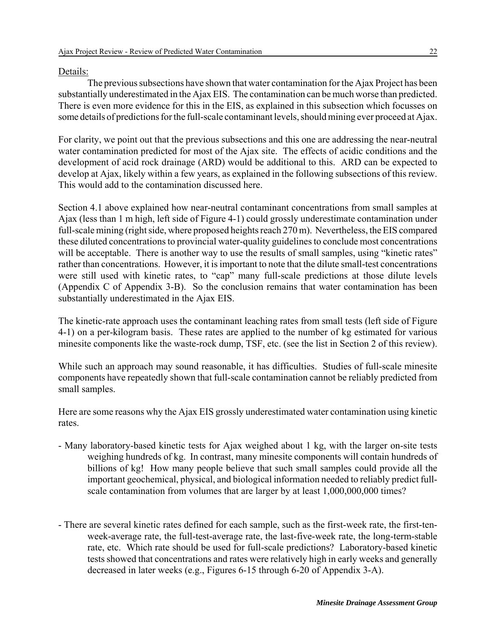## Details:

The previous subsections have shown that water contamination for the Ajax Project has been substantially underestimated in the Ajax EIS. The contamination can be much worse than predicted. There is even more evidence for this in the EIS, as explained in this subsection which focusses on some details of predictions for the full-scale contaminant levels, should mining ever proceed at Ajax.

For clarity, we point out that the previous subsections and this one are addressing the near-neutral water contamination predicted for most of the Ajax site. The effects of acidic conditions and the development of acid rock drainage (ARD) would be additional to this. ARD can be expected to develop at Ajax, likely within a few years, as explained in the following subsections of this review. This would add to the contamination discussed here.

Section 4.1 above explained how near-neutral contaminant concentrations from small samples at Ajax (less than 1 m high, left side of Figure 4-1) could grossly underestimate contamination under full-scale mining (right side, where proposed heights reach 270 m). Nevertheless, the EIS compared these diluted concentrations to provincial water-quality guidelines to conclude most concentrations will be acceptable. There is another way to use the results of small samples, using "kinetic rates" rather than concentrations. However, it is important to note that the dilute small-test concentrations were still used with kinetic rates, to "cap" many full-scale predictions at those dilute levels (Appendix C of Appendix 3-B). So the conclusion remains that water contamination has been substantially underestimated in the Ajax EIS.

The kinetic-rate approach uses the contaminant leaching rates from small tests (left side of Figure 4-1) on a per-kilogram basis. These rates are applied to the number of kg estimated for various minesite components like the waste-rock dump, TSF, etc. (see the list in Section 2 of this review).

While such an approach may sound reasonable, it has difficulties. Studies of full-scale minesite components have repeatedly shown that full-scale contamination cannot be reliably predicted from small samples.

Here are some reasons why the Ajax EIS grossly underestimated water contamination using kinetic rates.

- Many laboratory-based kinetic tests for Ajax weighed about 1 kg, with the larger on-site tests weighing hundreds of kg. In contrast, many minesite components will contain hundreds of billions of kg! How many people believe that such small samples could provide all the important geochemical, physical, and biological information needed to reliably predict fullscale contamination from volumes that are larger by at least 1,000,000,000 times?
- There are several kinetic rates defined for each sample, such as the first-week rate, the first-tenweek-average rate, the full-test-average rate, the last-five-week rate, the long-term-stable rate, etc. Which rate should be used for full-scale predictions? Laboratory-based kinetic tests showed that concentrations and rates were relatively high in early weeks and generally decreased in later weeks (e.g., Figures 6-15 through 6-20 of Appendix 3-A).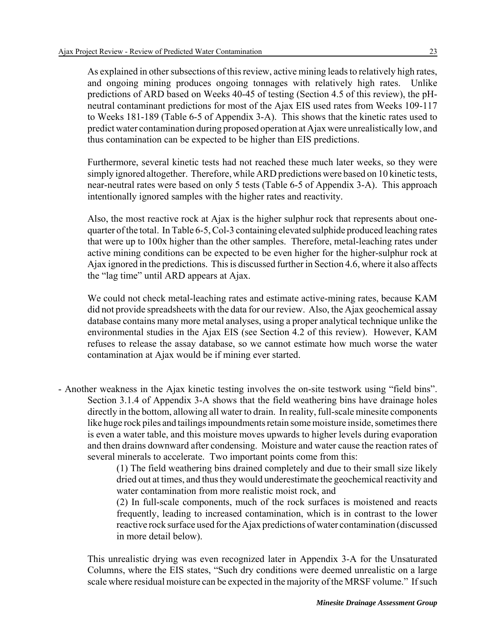As explained in other subsections of this review, active mining leads to relatively high rates, and ongoing mining produces ongoing tonnages with relatively high rates. Unlike predictions of ARD based on Weeks 40-45 of testing (Section 4.5 of this review), the pHneutral contaminant predictions for most of the Ajax EIS used rates from Weeks 109-117 to Weeks 181-189 (Table 6-5 of Appendix 3-A). This shows that the kinetic rates used to predict water contamination during proposed operation at Ajax were unrealistically low, and thus contamination can be expected to be higher than EIS predictions.

Furthermore, several kinetic tests had not reached these much later weeks, so they were simply ignored altogether. Therefore, while ARD predictions were based on 10 kinetic tests, near-neutral rates were based on only 5 tests (Table 6-5 of Appendix 3-A). This approach intentionally ignored samples with the higher rates and reactivity.

Also, the most reactive rock at Ajax is the higher sulphur rock that represents about onequarter of the total. In Table 6-5, Col-3 containing elevated sulphide produced leaching rates that were up to 100x higher than the other samples. Therefore, metal-leaching rates under active mining conditions can be expected to be even higher for the higher-sulphur rock at Ajax ignored in the predictions. This is discussed further in Section 4.6, where it also affects the "lag time" until ARD appears at Ajax.

We could not check metal-leaching rates and estimate active-mining rates, because KAM did not provide spreadsheets with the data for our review. Also, the Ajax geochemical assay database contains many more metal analyses, using a proper analytical technique unlike the environmental studies in the Ajax EIS (see Section 4.2 of this review). However, KAM refuses to release the assay database, so we cannot estimate how much worse the water contamination at Ajax would be if mining ever started.

- Another weakness in the Ajax kinetic testing involves the on-site testwork using "field bins". Section 3.1.4 of Appendix 3-A shows that the field weathering bins have drainage holes directly in the bottom, allowing all water to drain. In reality, full-scale minesite components like huge rock piles and tailings impoundments retain some moisture inside, sometimes there is even a water table, and this moisture moves upwards to higher levels during evaporation and then drains downward after condensing. Moisture and water cause the reaction rates of several minerals to accelerate. Two important points come from this:

(1) The field weathering bins drained completely and due to their small size likely dried out at times, and thus they would underestimate the geochemical reactivity and water contamination from more realistic moist rock, and

(2) In full-scale components, much of the rock surfaces is moistened and reacts frequently, leading to increased contamination, which is in contrast to the lower reactive rock surface used for the Ajax predictions of water contamination (discussed in more detail below).

This unrealistic drying was even recognized later in Appendix 3-A for the Unsaturated Columns, where the EIS states, "Such dry conditions were deemed unrealistic on a large scale where residual moisture can be expected in the majority of the MRSF volume." If such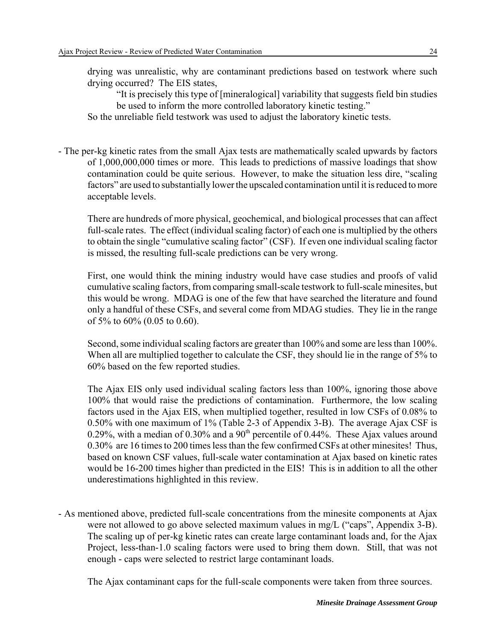drying was unrealistic, why are contaminant predictions based on testwork where such drying occurred? The EIS states,

"It is precisely this type of [mineralogical] variability that suggests field bin studies be used to inform the more controlled laboratory kinetic testing."

So the unreliable field testwork was used to adjust the laboratory kinetic tests.

- The per-kg kinetic rates from the small Ajax tests are mathematically scaled upwards by factors of 1,000,000,000 times or more. This leads to predictions of massive loadings that show contamination could be quite serious. However, to make the situation less dire, "scaling factors" are used to substantially lower the upscaled contamination until it is reduced to more acceptable levels.

There are hundreds of more physical, geochemical, and biological processes that can affect full-scale rates. The effect (individual scaling factor) of each one is multiplied by the others to obtain the single "cumulative scaling factor" (CSF). If even one individual scaling factor is missed, the resulting full-scale predictions can be very wrong.

First, one would think the mining industry would have case studies and proofs of valid cumulative scaling factors, from comparing small-scale testwork to full-scale minesites, but this would be wrong. MDAG is one of the few that have searched the literature and found only a handful of these CSFs, and several come from MDAG studies. They lie in the range of 5% to 60% (0.05 to 0.60).

Second, some individual scaling factors are greater than 100% and some are less than 100%. When all are multiplied together to calculate the CSF, they should lie in the range of 5% to 60% based on the few reported studies.

The Ajax EIS only used individual scaling factors less than 100%, ignoring those above 100% that would raise the predictions of contamination. Furthermore, the low scaling factors used in the Ajax EIS, when multiplied together, resulted in low CSFs of 0.08% to 0.50% with one maximum of 1% (Table 2-3 of Appendix 3-B). The average Ajax CSF is 0.29%, with a median of 0.30% and a 90<sup>th</sup> percentile of 0.44%. These Ajax values around 0.30% are 16 times to 200 times less than the few confirmed CSFs at other minesites! Thus, based on known CSF values, full-scale water contamination at Ajax based on kinetic rates would be 16-200 times higher than predicted in the EIS! This is in addition to all the other underestimations highlighted in this review.

- As mentioned above, predicted full-scale concentrations from the minesite components at Ajax were not allowed to go above selected maximum values in mg/L ("caps", Appendix 3-B). The scaling up of per-kg kinetic rates can create large contaminant loads and, for the Ajax Project, less-than-1.0 scaling factors were used to bring them down. Still, that was not enough - caps were selected to restrict large contaminant loads.

The Ajax contaminant caps for the full-scale components were taken from three sources.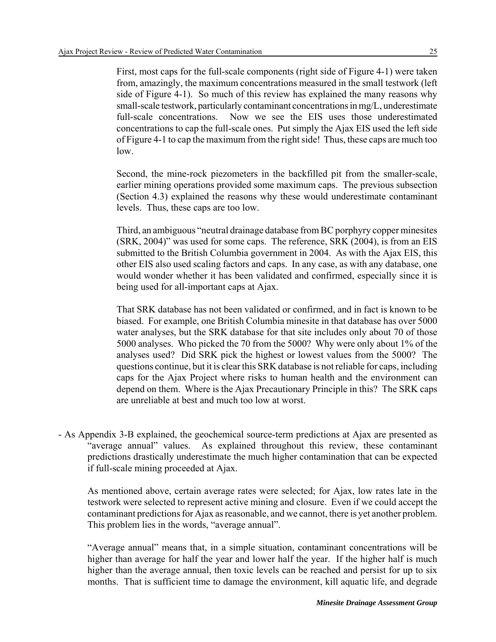First, most caps for the full-scale components (right side of Figure 4-1) were taken from, amazingly, the maximum concentrations measured in the small testwork (left side of Figure 4-1). So much of this review has explained the many reasons why small-scale testwork, particularly contaminant concentrations in mg/L, underestimate full-scale concentrations. Now we see the EIS uses those underestimated concentrations to cap the full-scale ones. Put simply the Ajax EIS used the left side of Figure 4-1 to cap the maximum from the right side! Thus, these caps are much too low.

Second, the mine-rock piezometers in the backfilled pit from the smaller-scale, earlier mining operations provided some maximum caps. The previous subsection (Section 4.3) explained the reasons why these would underestimate contaminant levels. Thus, these caps are too low.

Third, an ambiguous "neutral drainage database from BC porphyry copper minesites (SRK, 2004)" was used for some caps. The reference, SRK (2004), is from an EIS submitted to the British Columbia government in 2004. As with the Ajax EIS, this other EIS also used scaling factors and caps. In any case, as with any database, one would wonder whether it has been validated and confirmed, especially since it is being used for all-important caps at Ajax.

That SRK database has not been validated or confirmed, and in fact is known to be biased. For example, one British Columbia minesite in that database has over 5000 water analyses, but the SRK database for that site includes only about 70 of those 5000 analyses. Who picked the 70 from the 5000? Why were only about 1% of the analyses used? Did SRK pick the highest or lowest values from the 5000? The questions continue, but it is clear this SRK database is not reliable for caps, including caps for the Ajax Project where risks to human health and the environment can depend on them. Where is the Ajax Precautionary Principle in this? The SRK caps are unreliable at best and much too low at worst.

- As Appendix 3-B explained, the geochemical source-term predictions at Ajax are presented as "average annual" values. As explained throughout this review, these contaminant predictions drastically underestimate the much higher contamination that can be expected if full-scale mining proceeded at Ajax.

As mentioned above, certain average rates were selected; for Ajax, low rates late in the testwork were selected to represent active mining and closure. Even if we could accept the contaminant predictions for Ajax as reasonable, and we cannot, there is yet another problem. This problem lies in the words, "average annual".

"Average annual" means that, in a simple situation, contaminant concentrations will be higher than average for half the year and lower half the year. If the higher half is much higher than the average annual, then toxic levels can be reached and persist for up to six months. That is sufficient time to damage the environment, kill aquatic life, and degrade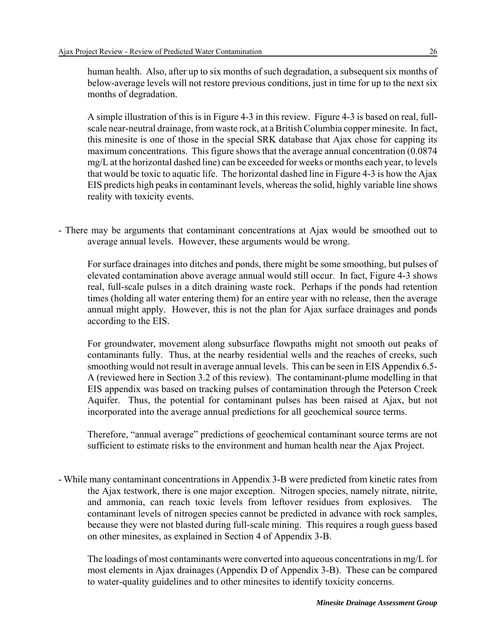human health. Also, after up to six months of such degradation, a subsequent six months of below-average levels will not restore previous conditions, just in time for up to the next six months of degradation.

A simple illustration of this is in Figure 4-3 in this review. Figure 4-3 is based on real, fullscale near-neutral drainage, from waste rock, at a British Columbia copper minesite. In fact, this minesite is one of those in the special SRK database that Ajax chose for capping its maximum concentrations. This figure shows that the average annual concentration (0.0874 mg/L at the horizontal dashed line) can be exceeded for weeks or months each year, to levels that would be toxic to aquatic life. The horizontal dashed line in Figure 4-3 is how the Ajax EIS predicts high peaks in contaminant levels, whereas the solid, highly variable line shows reality with toxicity events.

- There may be arguments that contaminant concentrations at Ajax would be smoothed out to average annual levels. However, these arguments would be wrong.

For surface drainages into ditches and ponds, there might be some smoothing, but pulses of elevated contamination above average annual would still occur. In fact, Figure 4-3 shows real, full-scale pulses in a ditch draining waste rock. Perhaps if the ponds had retention times (holding all water entering them) for an entire year with no release, then the average annual might apply. However, this is not the plan for Ajax surface drainages and ponds according to the EIS.

For groundwater, movement along subsurface flowpaths might not smooth out peaks of contaminants fully. Thus, at the nearby residential wells and the reaches of creeks, such smoothing would not result in average annual levels. This can be seen in EIS Appendix 6.5- A (reviewed here in Section 3.2 of this review). The contaminant-plume modelling in that EIS appendix was based on tracking pulses of contamination through the Peterson Creek Aquifer. Thus, the potential for contaminant pulses has been raised at Ajax, but not incorporated into the average annual predictions for all geochemical source terms.

Therefore, "annual average" predictions of geochemical contaminant source terms are not sufficient to estimate risks to the environment and human health near the Ajax Project.

- While many contaminant concentrations in Appendix 3-B were predicted from kinetic rates from the Ajax testwork, there is one major exception. Nitrogen species, namely nitrate, nitrite, and ammonia, can reach toxic levels from leftover residues from explosives. The contaminant levels of nitrogen species cannot be predicted in advance with rock samples, because they were not blasted during full-scale mining. This requires a rough guess based on other minesites, as explained in Section 4 of Appendix 3-B.

The loadings of most contaminants were converted into aqueous concentrations in mg/L for most elements in Ajax drainages (Appendix D of Appendix 3-B). These can be compared to water-quality guidelines and to other minesites to identify toxicity concerns.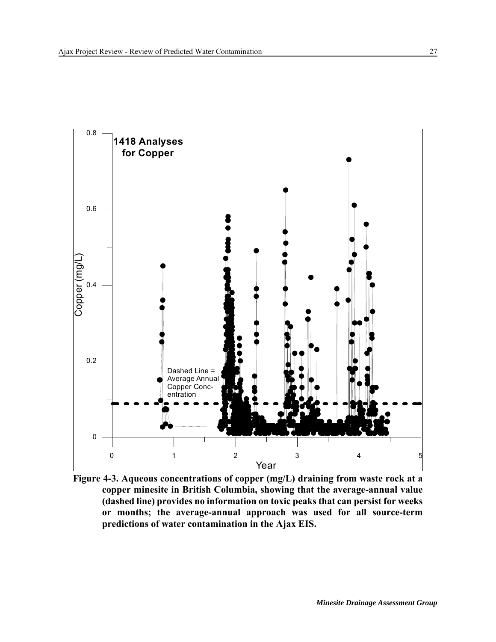

**Figure 4-3. Aqueous concentrations of copper (mg/L) draining from waste rock at a copper minesite in British Columbia, showing that the average-annual value (dashed line) provides no information on toxic peaks that can persist for weeks or months; the average-annual approach was used for all source-term predictions of water contamination in the Ajax EIS.**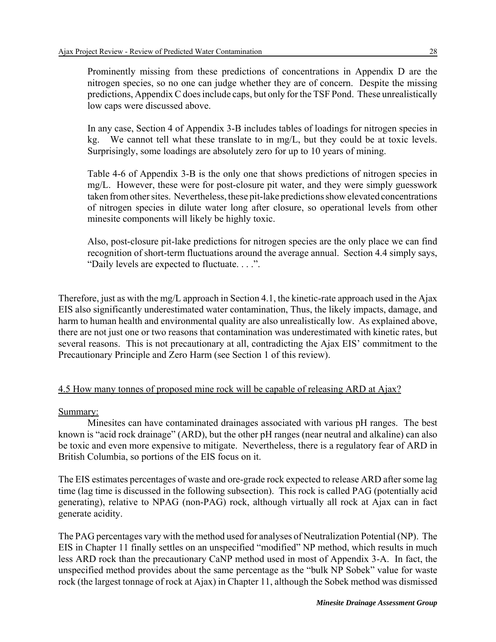Prominently missing from these predictions of concentrations in Appendix D are the nitrogen species, so no one can judge whether they are of concern. Despite the missing predictions, Appendix C does include caps, but only for the TSF Pond. These unrealistically low caps were discussed above.

In any case, Section 4 of Appendix 3-B includes tables of loadings for nitrogen species in kg. We cannot tell what these translate to in mg/L, but they could be at toxic levels. Surprisingly, some loadings are absolutely zero for up to 10 years of mining.

Table 4-6 of Appendix 3-B is the only one that shows predictions of nitrogen species in mg/L. However, these were for post-closure pit water, and they were simply guesswork taken from other sites. Nevertheless, these pit-lake predictions show elevated concentrations of nitrogen species in dilute water long after closure, so operational levels from other minesite components will likely be highly toxic.

Also, post-closure pit-lake predictions for nitrogen species are the only place we can find recognition of short-term fluctuations around the average annual. Section 4.4 simply says, "Daily levels are expected to fluctuate. . . .".

Therefore, just as with the mg/L approach in Section 4.1, the kinetic-rate approach used in the Ajax EIS also significantly underestimated water contamination, Thus, the likely impacts, damage, and harm to human health and environmental quality are also unrealistically low. As explained above, there are not just one or two reasons that contamination was underestimated with kinetic rates, but several reasons. This is not precautionary at all, contradicting the Ajax EIS' commitment to the Precautionary Principle and Zero Harm (see Section 1 of this review).

# 4.5 How many tonnes of proposed mine rock will be capable of releasing ARD at Ajax?

Summary:

Minesites can have contaminated drainages associated with various pH ranges. The best known is "acid rock drainage" (ARD), but the other pH ranges (near neutral and alkaline) can also be toxic and even more expensive to mitigate. Nevertheless, there is a regulatory fear of ARD in British Columbia, so portions of the EIS focus on it.

The EIS estimates percentages of waste and ore-grade rock expected to release ARD after some lag time (lag time is discussed in the following subsection). This rock is called PAG (potentially acid generating), relative to NPAG (non-PAG) rock, although virtually all rock at Ajax can in fact generate acidity.

The PAG percentages vary with the method used for analyses of Neutralization Potential (NP). The EIS in Chapter 11 finally settles on an unspecified "modified" NP method, which results in much less ARD rock than the precautionary CaNP method used in most of Appendix 3-A. In fact, the unspecified method provides about the same percentage as the "bulk NP Sobek" value for waste rock (the largest tonnage of rock at Ajax) in Chapter 11, although the Sobek method was dismissed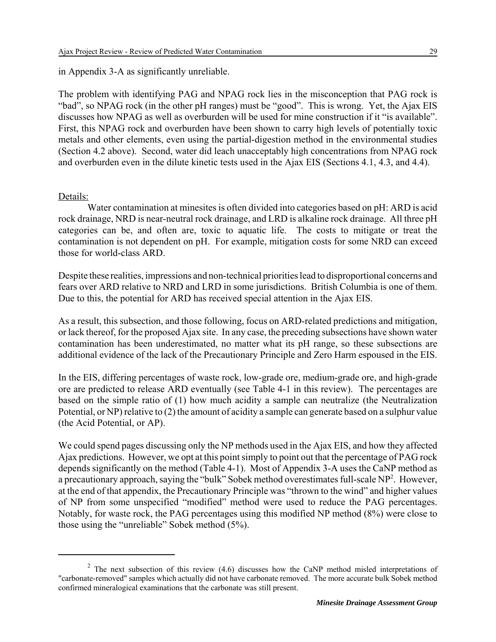in Appendix 3-A as significantly unreliable.

The problem with identifying PAG and NPAG rock lies in the misconception that PAG rock is "bad", so NPAG rock (in the other pH ranges) must be "good". This is wrong. Yet, the Ajax EIS discusses how NPAG as well as overburden will be used for mine construction if it "is available". First, this NPAG rock and overburden have been shown to carry high levels of potentially toxic metals and other elements, even using the partial-digestion method in the environmental studies (Section 4.2 above). Second, water did leach unacceptably high concentrations from NPAG rock and overburden even in the dilute kinetic tests used in the Ajax EIS (Sections 4.1, 4.3, and 4.4).

#### Details:

Water contamination at minesites is often divided into categories based on pH: ARD is acid rock drainage, NRD is near-neutral rock drainage, and LRD is alkaline rock drainage. All three pH categories can be, and often are, toxic to aquatic life. The costs to mitigate or treat the contamination is not dependent on pH. For example, mitigation costs for some NRD can exceed those for world-class ARD.

Despite these realities, impressions and non-technical priorities lead to disproportional concerns and fears over ARD relative to NRD and LRD in some jurisdictions. British Columbia is one of them. Due to this, the potential for ARD has received special attention in the Ajax EIS.

As a result, this subsection, and those following, focus on ARD-related predictions and mitigation, or lack thereof, for the proposed Ajax site. In any case, the preceding subsections have shown water contamination has been underestimated, no matter what its pH range, so these subsections are additional evidence of the lack of the Precautionary Principle and Zero Harm espoused in the EIS.

In the EIS, differing percentages of waste rock, low-grade ore, medium-grade ore, and high-grade ore are predicted to release ARD eventually (see Table 4-1 in this review). The percentages are based on the simple ratio of (1) how much acidity a sample can neutralize (the Neutralization Potential, or NP) relative to (2) the amount of acidity a sample can generate based on a sulphur value (the Acid Potential, or AP).

We could spend pages discussing only the NP methods used in the Ajax EIS, and how they affected Ajax predictions. However, we opt at this point simply to point out that the percentage of PAG rock depends significantly on the method (Table 4-1). Most of Appendix 3-A uses the CaNP method as a precautionary approach, saying the "bulk" Sobek method overestimates full-scale  $NP<sup>2</sup>$ . However, at the end of that appendix, the Precautionary Principle was "thrown to the wind" and higher values of NP from some unspecified "modified" method were used to reduce the PAG percentages. Notably, for waste rock, the PAG percentages using this modified NP method (8%) were close to those using the "unreliable" Sobek method (5%).

<sup>&</sup>lt;sup>2</sup> The next subsection of this review (4.6) discusses how the CaNP method misled interpretations of "carbonate-removed" samples which actually did not have carbonate removed. The more accurate bulk Sobek method confirmed mineralogical examinations that the carbonate was still present.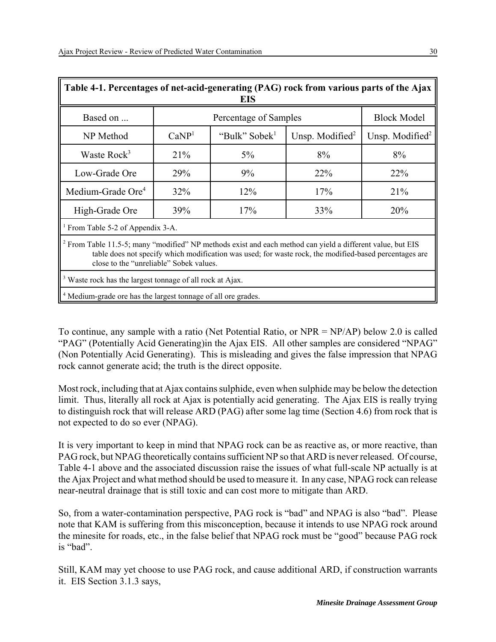| Table 4-1. Percentages of net-acid-generating (PAG) rock from various parts of the Ajax<br><b>EIS</b>                                                                                                                                                                      |                       |                           |                    |                    |  |  |
|----------------------------------------------------------------------------------------------------------------------------------------------------------------------------------------------------------------------------------------------------------------------------|-----------------------|---------------------------|--------------------|--------------------|--|--|
| Based on                                                                                                                                                                                                                                                                   | Percentage of Samples |                           |                    | <b>Block Model</b> |  |  |
| NP Method                                                                                                                                                                                                                                                                  | CaNP <sup>1</sup>     | "Bulk" Sobek <sup>1</sup> | Unsp. Modified $2$ | Unsp. Modified $2$ |  |  |
| Waste Rock <sup>3</sup>                                                                                                                                                                                                                                                    | 21%                   | 5%                        | 8%                 | 8%                 |  |  |
| Low-Grade Ore                                                                                                                                                                                                                                                              | 29%                   | 9%                        | 22%                | 22%                |  |  |
| Medium-Grade Ore <sup>4</sup>                                                                                                                                                                                                                                              | 32%                   | 12%                       | 17%                | 21%                |  |  |
| High-Grade Ore                                                                                                                                                                                                                                                             | 39%                   | 17%                       | 33%                | 20%                |  |  |
| <sup>1</sup> From Table 5-2 of Appendix 3-A.                                                                                                                                                                                                                               |                       |                           |                    |                    |  |  |
| <sup>2</sup> From Table 11.5-5; many "modified" NP methods exist and each method can yield a different value, but EIS<br>table does not specify which modification was used; for waste rock, the modified-based percentages are<br>close to the "unreliable" Sobek values. |                       |                           |                    |                    |  |  |
| <sup>3</sup> Waste rock has the largest tonnage of all rock at Ajax.                                                                                                                                                                                                       |                       |                           |                    |                    |  |  |
| <sup>4</sup> Medium-grade ore has the largest tonnage of all ore grades.                                                                                                                                                                                                   |                       |                           |                    |                    |  |  |

To continue, any sample with a ratio (Net Potential Ratio, or NPR = NP/AP) below 2.0 is called "PAG" (Potentially Acid Generating)in the Ajax EIS. All other samples are considered "NPAG" (Non Potentially Acid Generating). This is misleading and gives the false impression that NPAG rock cannot generate acid; the truth is the direct opposite.

Most rock, including that at Ajax contains sulphide, even when sulphide may be below the detection limit. Thus, literally all rock at Ajax is potentially acid generating. The Ajax EIS is really trying to distinguish rock that will release ARD (PAG) after some lag time (Section 4.6) from rock that is not expected to do so ever (NPAG).

It is very important to keep in mind that NPAG rock can be as reactive as, or more reactive, than PAG rock, but NPAG theoretically contains sufficient NP so that ARD is never released. Of course, Table 4-1 above and the associated discussion raise the issues of what full-scale NP actually is at the Ajax Project and what method should be used to measure it. In any case, NPAG rock can release near-neutral drainage that is still toxic and can cost more to mitigate than ARD.

So, from a water-contamination perspective, PAG rock is "bad" and NPAG is also "bad". Please note that KAM is suffering from this misconception, because it intends to use NPAG rock around the minesite for roads, etc., in the false belief that NPAG rock must be "good" because PAG rock is "bad".

Still, KAM may yet choose to use PAG rock, and cause additional ARD, if construction warrants it. EIS Section 3.1.3 says,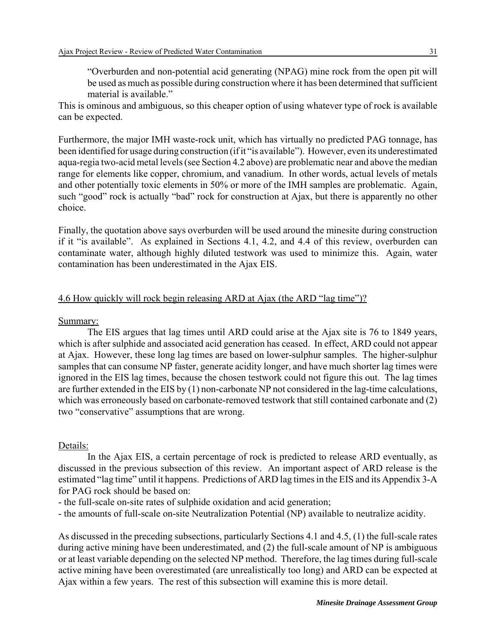"Overburden and non-potential acid generating (NPAG) mine rock from the open pit will be used as much as possible during construction where it has been determined that sufficient material is available."

This is ominous and ambiguous, so this cheaper option of using whatever type of rock is available can be expected.

Furthermore, the major IMH waste-rock unit, which has virtually no predicted PAG tonnage, has been identified for usage during construction (if it "is available"). However, even its underestimated aqua-regia two-acid metal levels (see Section 4.2 above) are problematic near and above the median range for elements like copper, chromium, and vanadium. In other words, actual levels of metals and other potentially toxic elements in 50% or more of the IMH samples are problematic. Again, such "good" rock is actually "bad" rock for construction at Ajax, but there is apparently no other choice.

Finally, the quotation above says overburden will be used around the minesite during construction if it "is available". As explained in Sections 4.1, 4.2, and 4.4 of this review, overburden can contaminate water, although highly diluted testwork was used to minimize this. Again, water contamination has been underestimated in the Ajax EIS.

# 4.6 How quickly will rock begin releasing ARD at Ajax (the ARD "lag time")?

Summary:

The EIS argues that lag times until ARD could arise at the Ajax site is 76 to 1849 years, which is after sulphide and associated acid generation has ceased. In effect, ARD could not appear at Ajax. However, these long lag times are based on lower-sulphur samples. The higher-sulphur samples that can consume NP faster, generate acidity longer, and have much shorter lag times were ignored in the EIS lag times, because the chosen testwork could not figure this out. The lag times are further extended in the EIS by (1) non-carbonate NP not considered in the lag-time calculations, which was erroneously based on carbonate-removed testwork that still contained carbonate and (2) two "conservative" assumptions that are wrong.

#### Details:

In the Ajax EIS, a certain percentage of rock is predicted to release ARD eventually, as discussed in the previous subsection of this review. An important aspect of ARD release is the estimated "lag time" until it happens. Predictions of ARD lag times in the EIS and its Appendix 3-A for PAG rock should be based on:

- the full-scale on-site rates of sulphide oxidation and acid generation;
- the amounts of full-scale on-site Neutralization Potential (NP) available to neutralize acidity.

As discussed in the preceding subsections, particularly Sections 4.1 and 4.5, (1) the full-scale rates during active mining have been underestimated, and (2) the full-scale amount of NP is ambiguous or at least variable depending on the selected NP method. Therefore, the lag times during full-scale active mining have been overestimated (are unrealistically too long) and ARD can be expected at Ajax within a few years. The rest of this subsection will examine this is more detail.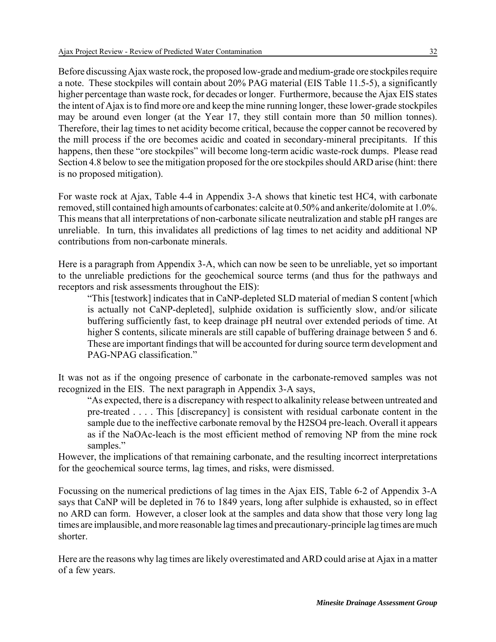Before discussing Ajax waste rock, the proposed low-grade and medium-grade ore stockpiles require a note. These stockpiles will contain about 20% PAG material (EIS Table 11.5-5), a significantly higher percentage than waste rock, for decades or longer. Furthermore, because the Ajax EIS states the intent of Ajax is to find more ore and keep the mine running longer, these lower-grade stockpiles may be around even longer (at the Year 17, they still contain more than 50 million tonnes). Therefore, their lag times to net acidity become critical, because the copper cannot be recovered by the mill process if the ore becomes acidic and coated in secondary-mineral precipitants. If this happens, then these "ore stockpiles" will become long-term acidic waste-rock dumps. Please read Section 4.8 below to see the mitigation proposed for the ore stockpiles should ARD arise (hint: there is no proposed mitigation).

For waste rock at Ajax, Table 4-4 in Appendix 3-A shows that kinetic test HC4, with carbonate removed, still contained high amounts of carbonates: calcite at 0.50% and ankerite/dolomite at 1.0%. This means that all interpretations of non-carbonate silicate neutralization and stable pH ranges are unreliable. In turn, this invalidates all predictions of lag times to net acidity and additional NP contributions from non-carbonate minerals.

Here is a paragraph from Appendix 3-A, which can now be seen to be unreliable, yet so important to the unreliable predictions for the geochemical source terms (and thus for the pathways and receptors and risk assessments throughout the EIS):

"This [testwork] indicates that in CaNP-depleted SLD material of median S content [which is actually not CaNP-depleted], sulphide oxidation is sufficiently slow, and/or silicate buffering sufficiently fast, to keep drainage pH neutral over extended periods of time. At higher S contents, silicate minerals are still capable of buffering drainage between 5 and 6. These are important findings that will be accounted for during source term development and PAG-NPAG classification."

It was not as if the ongoing presence of carbonate in the carbonate-removed samples was not recognized in the EIS. The next paragraph in Appendix 3-A says,

"As expected, there is a discrepancy with respect to alkalinity release between untreated and pre-treated . . . . This [discrepancy] is consistent with residual carbonate content in the sample due to the ineffective carbonate removal by the H2SO4 pre-leach. Overall it appears as if the NaOAc-leach is the most efficient method of removing NP from the mine rock samples."

However, the implications of that remaining carbonate, and the resulting incorrect interpretations for the geochemical source terms, lag times, and risks, were dismissed.

Focussing on the numerical predictions of lag times in the Ajax EIS, Table 6-2 of Appendix 3-A says that CaNP will be depleted in 76 to 1849 years, long after sulphide is exhausted, so in effect no ARD can form. However, a closer look at the samples and data show that those very long lag times are implausible, and more reasonable lag times and precautionary-principle lag times are much shorter.

Here are the reasons why lag times are likely overestimated and ARD could arise at Ajax in a matter of a few years.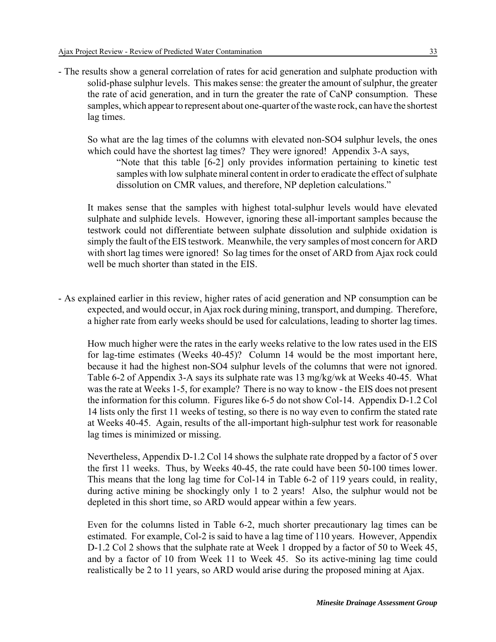- The results show a general correlation of rates for acid generation and sulphate production with solid-phase sulphur levels. This makes sense: the greater the amount of sulphur, the greater the rate of acid generation, and in turn the greater the rate of CaNP consumption. These samples, which appear to represent about one-quarter of the waste rock, can have the shortest lag times.

So what are the lag times of the columns with elevated non-SO4 sulphur levels, the ones which could have the shortest lag times? They were ignored! Appendix 3-A says,

"Note that this table [6-2] only provides information pertaining to kinetic test samples with low sulphate mineral content in order to eradicate the effect of sulphate dissolution on CMR values, and therefore, NP depletion calculations."

It makes sense that the samples with highest total-sulphur levels would have elevated sulphate and sulphide levels. However, ignoring these all-important samples because the testwork could not differentiate between sulphate dissolution and sulphide oxidation is simply the fault of the EIS testwork. Meanwhile, the very samples of most concern for ARD with short lag times were ignored! So lag times for the onset of ARD from Ajax rock could well be much shorter than stated in the EIS.

- As explained earlier in this review, higher rates of acid generation and NP consumption can be expected, and would occur, in Ajax rock during mining, transport, and dumping. Therefore, a higher rate from early weeks should be used for calculations, leading to shorter lag times.

How much higher were the rates in the early weeks relative to the low rates used in the EIS for lag-time estimates (Weeks 40-45)? Column 14 would be the most important here, because it had the highest non-SO4 sulphur levels of the columns that were not ignored. Table 6-2 of Appendix 3-A says its sulphate rate was 13 mg/kg/wk at Weeks 40-45. What was the rate at Weeks 1-5, for example? There is no way to know - the EIS does not present the information for this column. Figures like 6-5 do not show Col-14. Appendix D-1.2 Col 14 lists only the first 11 weeks of testing, so there is no way even to confirm the stated rate at Weeks 40-45. Again, results of the all-important high-sulphur test work for reasonable lag times is minimized or missing.

Nevertheless, Appendix D-1.2 Col 14 shows the sulphate rate dropped by a factor of 5 over the first 11 weeks. Thus, by Weeks 40-45, the rate could have been 50-100 times lower. This means that the long lag time for Col-14 in Table 6-2 of 119 years could, in reality, during active mining be shockingly only 1 to 2 years! Also, the sulphur would not be depleted in this short time, so ARD would appear within a few years.

Even for the columns listed in Table 6-2, much shorter precautionary lag times can be estimated. For example, Col-2 is said to have a lag time of 110 years. However, Appendix D-1.2 Col 2 shows that the sulphate rate at Week 1 dropped by a factor of 50 to Week 45, and by a factor of 10 from Week 11 to Week 45. So its active-mining lag time could realistically be 2 to 11 years, so ARD would arise during the proposed mining at Ajax.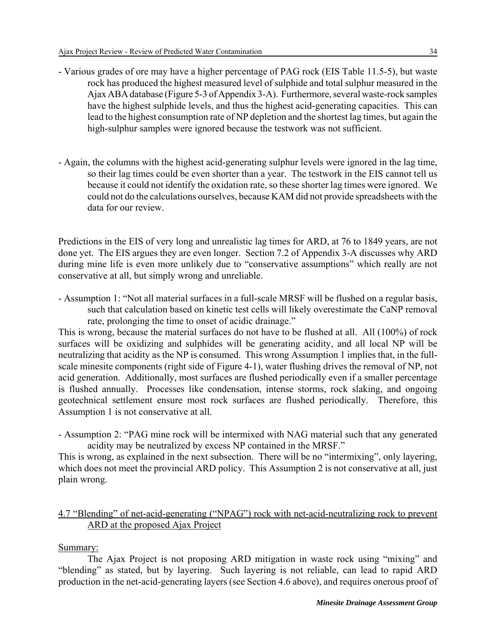- Various grades of ore may have a higher percentage of PAG rock (EIS Table 11.5-5), but waste rock has produced the highest measured level of sulphide and total sulphur measured in the Ajax ABA database (Figure 5-3 of Appendix 3-A). Furthermore, several waste-rock samples have the highest sulphide levels, and thus the highest acid-generating capacities. This can lead to the highest consumption rate of NP depletion and the shortest lag times, but again the high-sulphur samples were ignored because the testwork was not sufficient.
- Again, the columns with the highest acid-generating sulphur levels were ignored in the lag time, so their lag times could be even shorter than a year. The testwork in the EIS cannot tell us because it could not identify the oxidation rate, so these shorter lag times were ignored. We could not do the calculations ourselves, because KAM did not provide spreadsheets with the data for our review.

Predictions in the EIS of very long and unrealistic lag times for ARD, at 76 to 1849 years, are not done yet. The EIS argues they are even longer. Section 7.2 of Appendix 3-A discusses why ARD during mine life is even more unlikely due to "conservative assumptions" which really are not conservative at all, but simply wrong and unreliable.

- Assumption 1: "Not all material surfaces in a full-scale MRSF will be flushed on a regular basis, such that calculation based on kinetic test cells will likely overestimate the CaNP removal rate, prolonging the time to onset of acidic drainage."

This is wrong, because the material surfaces do not have to be flushed at all. All (100%) of rock surfaces will be oxidizing and sulphides will be generating acidity, and all local NP will be neutralizing that acidity as the NP is consumed. This wrong Assumption 1 implies that, in the fullscale minesite components (right side of Figure 4-1), water flushing drives the removal of NP, not acid generation. Additionally, most surfaces are flushed periodically even if a smaller percentage is flushed annually. Processes like condensation, intense storms, rock slaking, and ongoing geotechnical settlement ensure most rock surfaces are flushed periodically. Therefore, this Assumption 1 is not conservative at all.

- Assumption 2: "PAG mine rock will be intermixed with NAG material such that any generated acidity may be neutralized by excess NP contained in the MRSF."

This is wrong, as explained in the next subsection. There will be no "intermixing", only layering, which does not meet the provincial ARD policy. This Assumption 2 is not conservative at all, just plain wrong.

# 4.7 "Blending" of net-acid-generating ("NPAG") rock with net-acid-neutralizing rock to prevent ARD at the proposed Ajax Project

Summary:

The Ajax Project is not proposing ARD mitigation in waste rock using "mixing" and "blending" as stated, but by layering. Such layering is not reliable, can lead to rapid ARD production in the net-acid-generating layers (see Section 4.6 above), and requires onerous proof of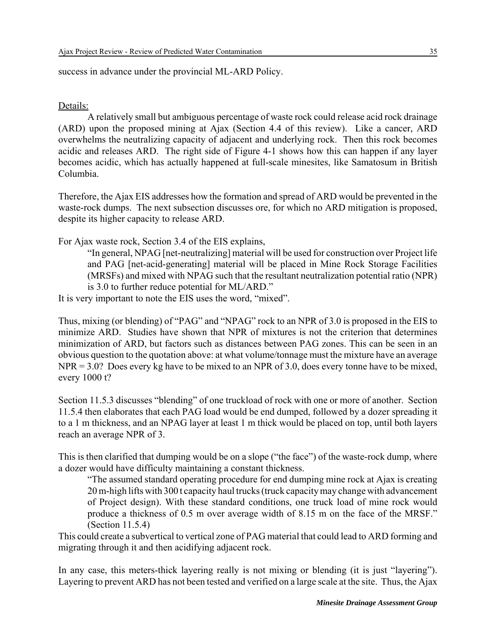success in advance under the provincial ML-ARD Policy.

#### Details:

A relatively small but ambiguous percentage of waste rock could release acid rock drainage (ARD) upon the proposed mining at Ajax (Section 4.4 of this review). Like a cancer, ARD overwhelms the neutralizing capacity of adjacent and underlying rock. Then this rock becomes acidic and releases ARD. The right side of Figure 4-1 shows how this can happen if any layer becomes acidic, which has actually happened at full-scale minesites, like Samatosum in British Columbia.

Therefore, the Ajax EIS addresses how the formation and spread of ARD would be prevented in the waste-rock dumps. The next subsection discusses ore, for which no ARD mitigation is proposed, despite its higher capacity to release ARD.

For Ajax waste rock, Section 3.4 of the EIS explains,

"In general, NPAG [net-neutralizing] material will be used for construction over Project life and PAG [net-acid-generating] material will be placed in Mine Rock Storage Facilities (MRSFs) and mixed with NPAG such that the resultant neutralization potential ratio (NPR) is 3.0 to further reduce potential for ML/ARD."

It is very important to note the EIS uses the word, "mixed".

Thus, mixing (or blending) of "PAG" and "NPAG" rock to an NPR of 3.0 is proposed in the EIS to minimize ARD. Studies have shown that NPR of mixtures is not the criterion that determines minimization of ARD, but factors such as distances between PAG zones. This can be seen in an obvious question to the quotation above: at what volume/tonnage must the mixture have an average NPR = 3.0? Does every kg have to be mixed to an NPR of 3.0, does every tonne have to be mixed, every 1000 t?

Section 11.5.3 discusses "blending" of one truckload of rock with one or more of another. Section 11.5.4 then elaborates that each PAG load would be end dumped, followed by a dozer spreading it to a 1 m thickness, and an NPAG layer at least 1 m thick would be placed on top, until both layers reach an average NPR of 3.

This is then clarified that dumping would be on a slope ("the face") of the waste-rock dump, where a dozer would have difficulty maintaining a constant thickness.

"The assumed standard operating procedure for end dumping mine rock at Ajax is creating 20 m-high lifts with 300 t capacity haul trucks (truck capacity may change with advancement of Project design). With these standard conditions, one truck load of mine rock would produce a thickness of 0.5 m over average width of 8.15 m on the face of the MRSF." (Section 11.5.4)

This could create a subvertical to vertical zone of PAG material that could lead to ARD forming and migrating through it and then acidifying adjacent rock.

In any case, this meters-thick layering really is not mixing or blending (it is just "layering"). Layering to prevent ARD has not been tested and verified on a large scale at the site. Thus, the Ajax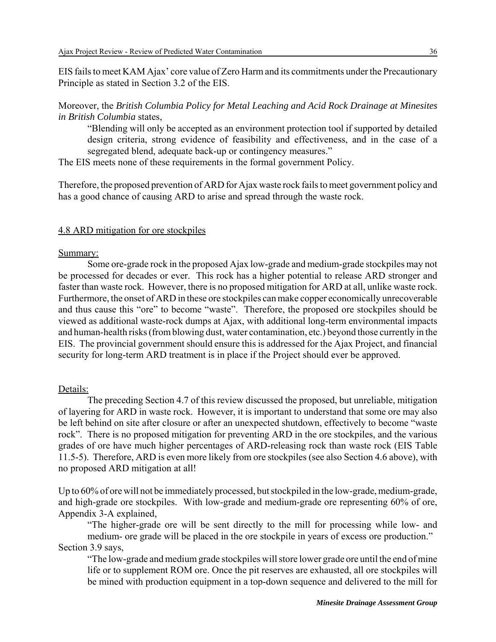EIS fails to meet KAM Ajax' core value of Zero Harm and its commitments under the Precautionary Principle as stated in Section 3.2 of the EIS.

Moreover, the *British Columbia Policy for Metal Leaching and Acid Rock Drainage at Minesites in British Columbia* states,

"Blending will only be accepted as an environment protection tool if supported by detailed design criteria, strong evidence of feasibility and effectiveness, and in the case of a segregated blend, adequate back-up or contingency measures."

The EIS meets none of these requirements in the formal government Policy.

Therefore, the proposed prevention of ARD for Ajax waste rock fails to meet government policy and has a good chance of causing ARD to arise and spread through the waste rock.

#### 4.8 ARD mitigation for ore stockpiles

#### Summary:

Some ore-grade rock in the proposed Ajax low-grade and medium-grade stockpiles may not be processed for decades or ever. This rock has a higher potential to release ARD stronger and faster than waste rock. However, there is no proposed mitigation for ARD at all, unlike waste rock. Furthermore, the onset of ARD in these ore stockpiles can make copper economically unrecoverable and thus cause this "ore" to become "waste". Therefore, the proposed ore stockpiles should be viewed as additional waste-rock dumps at Ajax, with additional long-term environmental impacts and human-health risks (from blowing dust, water contamination, etc.) beyond those currently in the EIS. The provincial government should ensure this is addressed for the Ajax Project, and financial security for long-term ARD treatment is in place if the Project should ever be approved.

#### Details:

The preceding Section 4.7 of this review discussed the proposed, but unreliable, mitigation of layering for ARD in waste rock. However, it is important to understand that some ore may also be left behind on site after closure or after an unexpected shutdown, effectively to become "waste rock". There is no proposed mitigation for preventing ARD in the ore stockpiles, and the various grades of ore have much higher percentages of ARD-releasing rock than waste rock (EIS Table 11.5-5). Therefore, ARD is even more likely from ore stockpiles (see also Section 4.6 above), with no proposed ARD mitigation at all!

Up to 60% of ore will not be immediately processed, but stockpiled in the low-grade, medium-grade, and high-grade ore stockpiles. With low-grade and medium-grade ore representing 60% of ore, Appendix 3-A explained,

"The higher-grade ore will be sent directly to the mill for processing while low- and medium- ore grade will be placed in the ore stockpile in years of excess ore production." Section 3.9 says,

"The low-grade and medium grade stockpiles will store lower grade ore until the end of mine life or to supplement ROM ore. Once the pit reserves are exhausted, all ore stockpiles will be mined with production equipment in a top-down sequence and delivered to the mill for